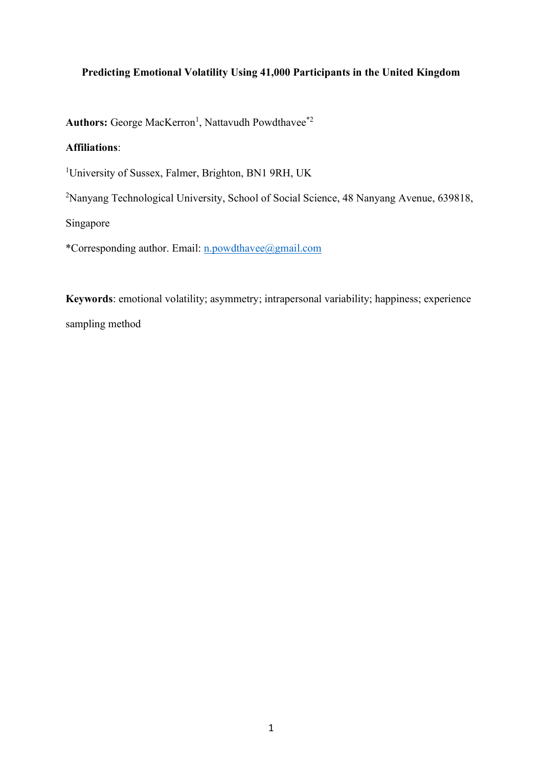## **Predicting Emotional Volatility Using 41,000 Participants in the United Kingdom**

Authors: George MacKerron<sup>1</sup>, Nattavudh Powdthavee<sup>\*2</sup>

## **Affiliations**:

<sup>1</sup>University of Sussex, Falmer, Brighton, BN1 9RH, UK

<sup>2</sup>Nanyang Technological University, School of Social Science, 48 Nanyang Avenue, 639818,

Singapore

\*Corresponding author. Email: [n.powdthavee@gmail.com](mailto:n.powdthavee@gmail.com)

**Keywords**: emotional volatility; asymmetry; intrapersonal variability; happiness; experience sampling method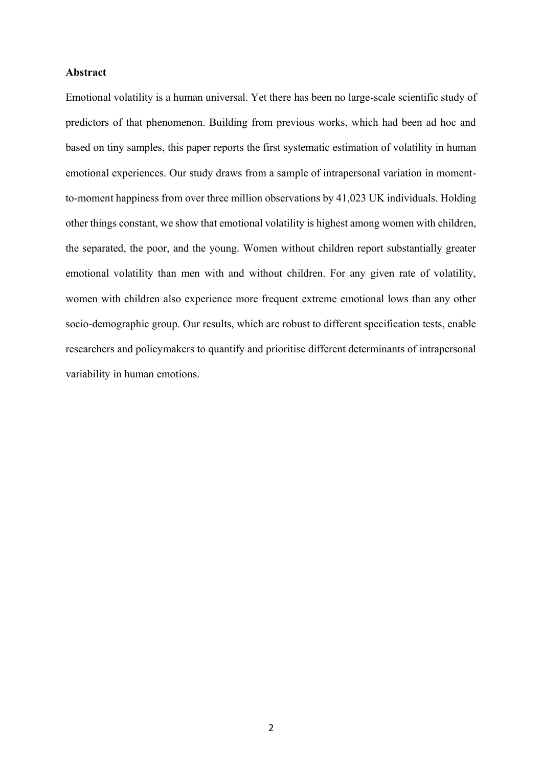## **Abstract**

Emotional volatility is a human universal. Yet there has been no large-scale scientific study of predictors of that phenomenon. Building from previous works, which had been ad hoc and based on tiny samples, this paper reports the first systematic estimation of volatility in human emotional experiences. Our study draws from a sample of intrapersonal variation in momentto-moment happiness from over three million observations by 41,023 UK individuals. Holding other things constant, we show that emotional volatility is highest among women with children, the separated, the poor, and the young. Women without children report substantially greater emotional volatility than men with and without children. For any given rate of volatility, women with children also experience more frequent extreme emotional lows than any other socio-demographic group. Our results, which are robust to different specification tests, enable researchers and policymakers to quantify and prioritise different determinants of intrapersonal variability in human emotions.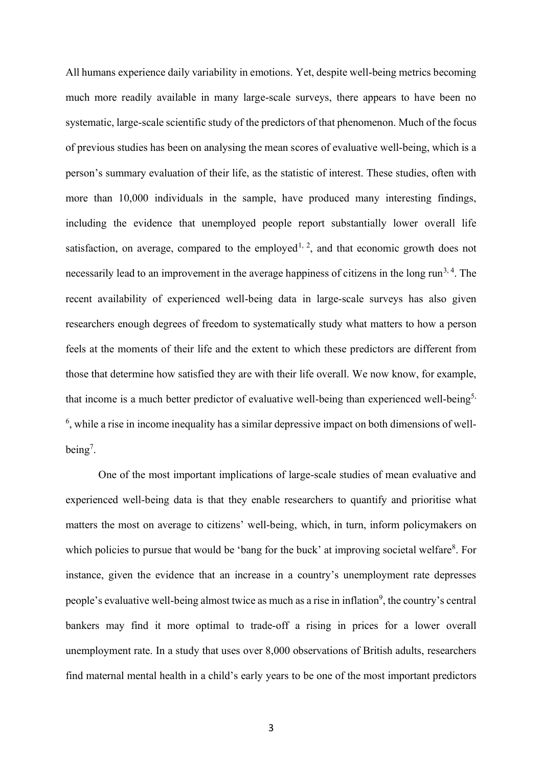All humans experience daily variability in emotions. Yet, despite well-being metrics becoming much more readily available in many large-scale surveys, there appears to have been no systematic, large-scale scientific study of the predictors of that phenomenon. Much of the focus of previous studies has been on analysing the mean scores of evaluative well-being, which is a person's summary evaluation of their life, as the statistic of interest. These studies, often with more than 10,000 individuals in the sample, have produced many interesting findings, including the evidence that unemployed people report substantially lower overall life satisfaction, on average, compared to the employed<sup>1, 2</sup>, and that economic growth does not necessarily lead to an improvement in the average happiness of citizens in the long run<sup>3,4</sup>. The recent availability of experienced well-being data in large-scale surveys has also given researchers enough degrees of freedom to systematically study what matters to how a person feels at the moments of their life and the extent to which these predictors are different from those that determine how satisfied they are with their life overall. We now know, for example, that income is a much better predictor of evaluative well-being than experienced well-being<sup>5,</sup>  $<sup>6</sup>$ , while a rise in income inequality has a similar depressive impact on both dimensions of well-</sup> being<sup>7</sup>.

One of the most important implications of large-scale studies of mean evaluative and experienced well-being data is that they enable researchers to quantify and prioritise what matters the most on average to citizens' well-being, which, in turn, inform policymakers on which policies to pursue that would be 'bang for the buck' at improving societal welfare<sup>8</sup>. For instance, given the evidence that an increase in a country's unemployment rate depresses people's evaluative well-being almost twice as much as a rise in inflation<sup>9</sup>, the country's central bankers may find it more optimal to trade-off a rising in prices for a lower overall unemployment rate. In a study that uses over 8,000 observations of British adults, researchers find maternal mental health in a child's early years to be one of the most important predictors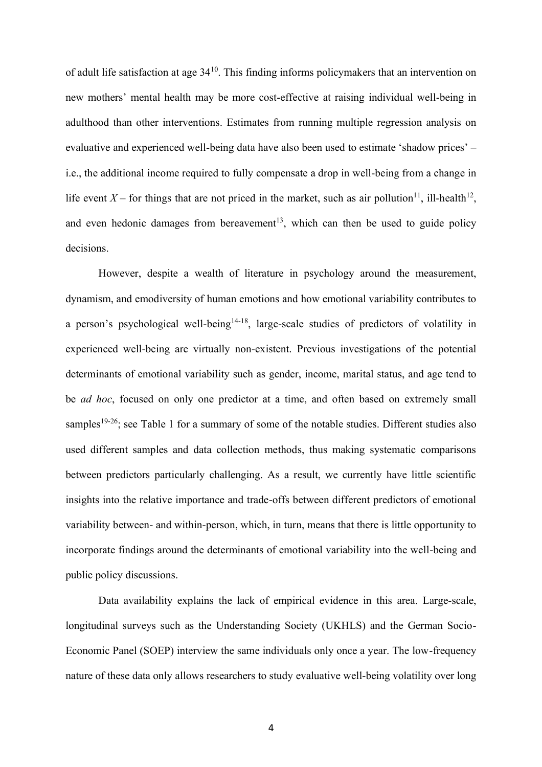of adult life satisfaction at age  $34^{10}$ . This finding informs policymakers that an intervention on new mothers' mental health may be more cost-effective at raising individual well-being in adulthood than other interventions. Estimates from running multiple regression analysis on evaluative and experienced well-being data have also been used to estimate 'shadow prices' – i.e., the additional income required to fully compensate a drop in well-being from a change in life event  $X$  – for things that are not priced in the market, such as air pollution<sup>11</sup>, ill-health<sup>12</sup>, and even hedonic damages from bereavement<sup>13</sup>, which can then be used to guide policy decisions.

However, despite a wealth of literature in psychology around the measurement, dynamism, and emodiversity of human emotions and how emotional variability contributes to a person's psychological well-being<sup>14-18</sup>, large-scale studies of predictors of volatility in experienced well-being are virtually non-existent. Previous investigations of the potential determinants of emotional variability such as gender, income, marital status, and age tend to be *ad hoc*, focused on only one predictor at a time, and often based on extremely small samples<sup>19-26</sup>; see Table 1 for a summary of some of the notable studies. Different studies also used different samples and data collection methods, thus making systematic comparisons between predictors particularly challenging. As a result, we currently have little scientific insights into the relative importance and trade-offs between different predictors of emotional variability between- and within-person, which, in turn, means that there is little opportunity to incorporate findings around the determinants of emotional variability into the well-being and public policy discussions.

Data availability explains the lack of empirical evidence in this area. Large-scale, longitudinal surveys such as the Understanding Society (UKHLS) and the German Socio-Economic Panel (SOEP) interview the same individuals only once a year. The low-frequency nature of these data only allows researchers to study evaluative well-being volatility over long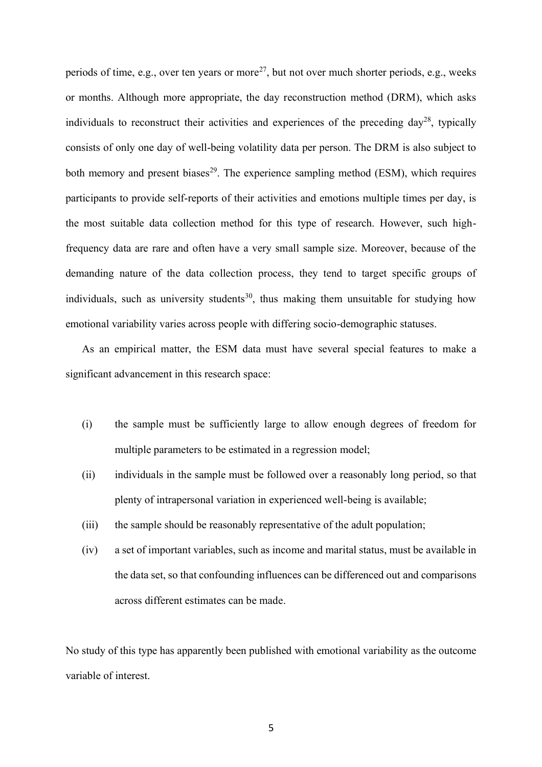periods of time, e.g., over ten years or more<sup>27</sup>, but not over much shorter periods, e.g., weeks or months. Although more appropriate, the day reconstruction method (DRM), which asks individuals to reconstruct their activities and experiences of the preceding day<sup>28</sup>, typically consists of only one day of well-being volatility data per person. The DRM is also subject to both memory and present biases<sup>29</sup>. The experience sampling method (ESM), which requires participants to provide self-reports of their activities and emotions multiple times per day, is the most suitable data collection method for this type of research. However, such highfrequency data are rare and often have a very small sample size. Moreover, because of the demanding nature of the data collection process, they tend to target specific groups of individuals, such as university students<sup>30</sup>, thus making them unsuitable for studying how emotional variability varies across people with differing socio-demographic statuses.

As an empirical matter, the ESM data must have several special features to make a significant advancement in this research space:

- (i) the sample must be sufficiently large to allow enough degrees of freedom for multiple parameters to be estimated in a regression model;
- (ii) individuals in the sample must be followed over a reasonably long period, so that plenty of intrapersonal variation in experienced well-being is available;
- (iii) the sample should be reasonably representative of the adult population;
- (iv) a set of important variables, such as income and marital status, must be available in the data set, so that confounding influences can be differenced out and comparisons across different estimates can be made.

No study of this type has apparently been published with emotional variability as the outcome variable of interest.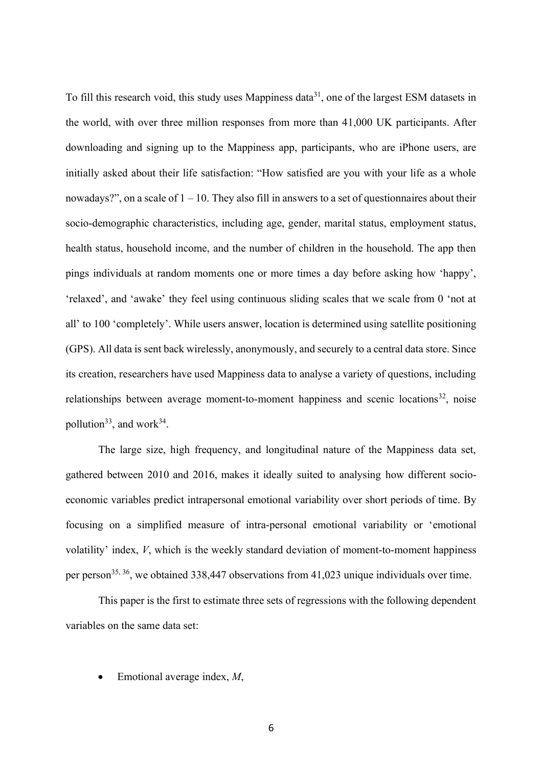To fill this research void, this study uses Mappiness data<sup>31</sup>, one of the largest ESM datasets in the world, with over three million responses from more than 41,000 UK participants. After downloading and signing up to the Mappiness app, participants, who are iPhone users, are initially asked about their life satisfaction: "How satisfied are you with your life as a whole nowadays?", on a scale of  $1 - 10$ . They also fill in answers to a set of questionnaires about their socio-demographic characteristics, including age, gender, marital status, employment status, health status, household income, and the number of children in the household. The app then pings individuals at random moments one or more times a day before asking how 'happy', 'relaxed', and 'awake' they feel using continuous sliding scales that we scale from 0 'not at all' to 100 'completely'. While users answer, location is determined using satellite positioning (GPS). All data is sent back wirelessly, anonymously, and securely to a central data store. Since its creation, researchers have used Mappiness data to analyse a variety of questions, including relationships between average moment-to-moment happiness and scenic locations<sup>32</sup>, noise pollution<sup>33</sup>, and work<sup>34</sup>.

The large size, high frequency, and longitudinal nature of the Mappiness data set, gathered between 2010 and 2016, makes it ideally suited to analysing how different socioeconomic variables predict intrapersonal emotional variability over short periods of time. By focusing on a simplified measure of intra-personal emotional variability or 'emotional volatility' index, *V*, which is the weekly standard deviation of moment-to-moment happiness per person<sup>35, 36</sup>, we obtained 338, 447 observations from 41,023 unique individuals over time.

This paper is the first to estimate three sets of regressions with the following dependent variables on the same data set:

• Emotional average index, *M*,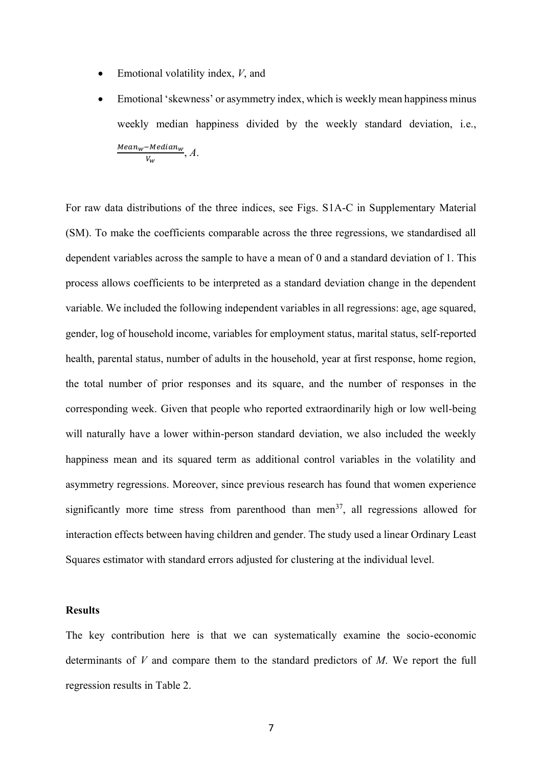- Emotional volatility index, *V*, and
- Emotional 'skewness' or asymmetry index, which is weekly mean happiness minus weekly median happiness divided by the weekly standard deviation, i.e.,  $Mean_w$ –Median $_w$  $\frac{\overline{V_W}}{\overline{V_W}}$ , *A*.

For raw data distributions of the three indices, see Figs. S1A-C in Supplementary Material (SM). To make the coefficients comparable across the three regressions, we standardised all dependent variables across the sample to have a mean of 0 and a standard deviation of 1. This process allows coefficients to be interpreted as a standard deviation change in the dependent variable. We included the following independent variables in all regressions: age, age squared, gender, log of household income, variables for employment status, marital status, self-reported health, parental status, number of adults in the household, year at first response, home region, the total number of prior responses and its square, and the number of responses in the corresponding week. Given that people who reported extraordinarily high or low well-being will naturally have a lower within-person standard deviation, we also included the weekly happiness mean and its squared term as additional control variables in the volatility and asymmetry regressions. Moreover, since previous research has found that women experience significantly more time stress from parenthood than men<sup>37</sup>, all regressions allowed for interaction effects between having children and gender. The study used a linear Ordinary Least Squares estimator with standard errors adjusted for clustering at the individual level.

### **Results**

The key contribution here is that we can systematically examine the socio-economic determinants of *V* and compare them to the standard predictors of *M*. We report the full regression results in Table 2.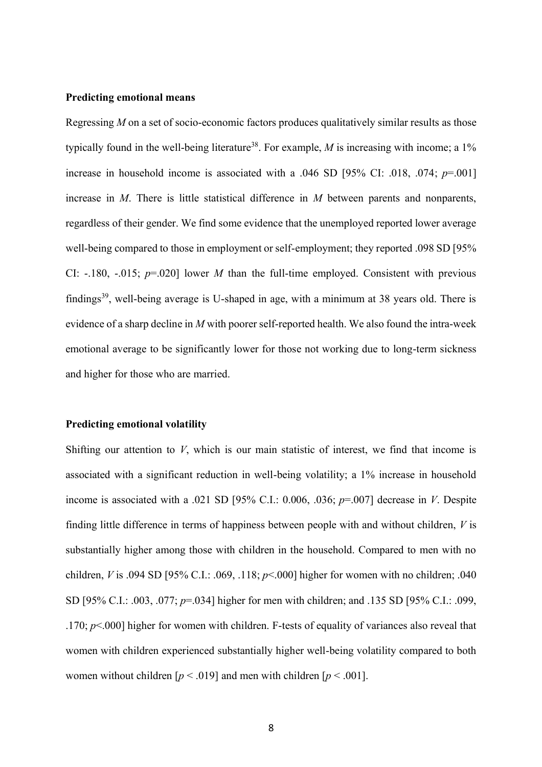### **Predicting emotional means**

Regressing *M* on a set of socio-economic factors produces qualitatively similar results as those typically found in the well-being literature<sup>38</sup>. For example, *M* is increasing with income; a  $1\%$ increase in household income is associated with a .046 SD [95% CI: .018, .074; *p*=.001] increase in *M*. There is little statistical difference in *M* between parents and nonparents, regardless of their gender. We find some evidence that the unemployed reported lower average well-being compared to those in employment or self-employment; they reported .098 SD [95% CI: -.180, -.015;  $p=0.020$ ] lower *M* than the full-time employed. Consistent with previous findings<sup>39</sup>, well-being average is U-shaped in age, with a minimum at 38 years old. There is evidence of a sharp decline in *M* with poorer self-reported health. We also found the intra-week emotional average to be significantly lower for those not working due to long-term sickness and higher for those who are married.

### **Predicting emotional volatility**

Shifting our attention to *V*, which is our main statistic of interest, we find that income is associated with a significant reduction in well-being volatility; a 1% increase in household income is associated with a .021 SD [95% C.I.: 0.006, .036; *p*=.007] decrease in *V*. Despite finding little difference in terms of happiness between people with and without children, *V* is substantially higher among those with children in the household. Compared to men with no children, *V* is .094 SD [95% C.I.: .069, .118; *p*<.000] higher for women with no children; .040 SD [95% C.I.: .003, .077; *p*=.034] higher for men with children; and .135 SD [95% C.I.: .099, .170; *p*<.000] higher for women with children. F-tests of equality of variances also reveal that women with children experienced substantially higher well-being volatility compared to both women without children  $[p \le 0.019]$  and men with children  $[p \le 0.001]$ .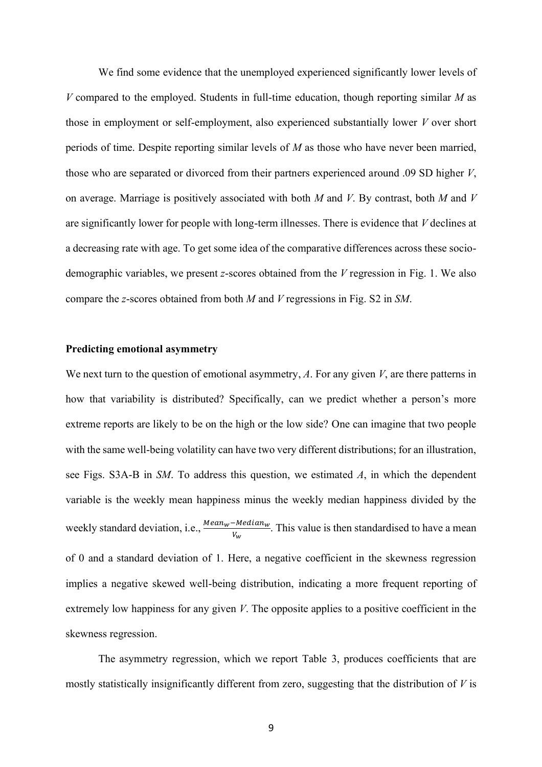We find some evidence that the unemployed experienced significantly lower levels of *V* compared to the employed. Students in full-time education, though reporting similar *M* as those in employment or self-employment, also experienced substantially lower *V* over short periods of time. Despite reporting similar levels of *M* as those who have never been married, those who are separated or divorced from their partners experienced around .09 SD higher *V*, on average. Marriage is positively associated with both *M* and *V*. By contrast, both *M* and *V* are significantly lower for people with long-term illnesses. There is evidence that *V* declines at a decreasing rate with age. To get some idea of the comparative differences across these sociodemographic variables, we present *z*-scores obtained from the *V* regression in Fig. 1. We also compare the *z*-scores obtained from both *M* and *V* regressions in Fig. S2 in *SM*.

## **Predicting emotional asymmetry**

We next turn to the question of emotional asymmetry, *A*. For any given *V*, are there patterns in how that variability is distributed? Specifically, can we predict whether a person's more extreme reports are likely to be on the high or the low side? One can imagine that two people with the same well-being volatility can have two very different distributions; for an illustration, see Figs. S3A-B in *SM*. To address this question, we estimated *A*, in which the dependent variable is the weekly mean happiness minus the weekly median happiness divided by the weekly standard deviation, i.e.,  $\frac{Mean_w - Median_w}{V_w}$ . This value is then standardised to have a mean of 0 and a standard deviation of 1. Here, a negative coefficient in the skewness regression implies a negative skewed well-being distribution, indicating a more frequent reporting of extremely low happiness for any given *V*. The opposite applies to a positive coefficient in the skewness regression.

The asymmetry regression, which we report Table 3, produces coefficients that are mostly statistically insignificantly different from zero, suggesting that the distribution of *V* is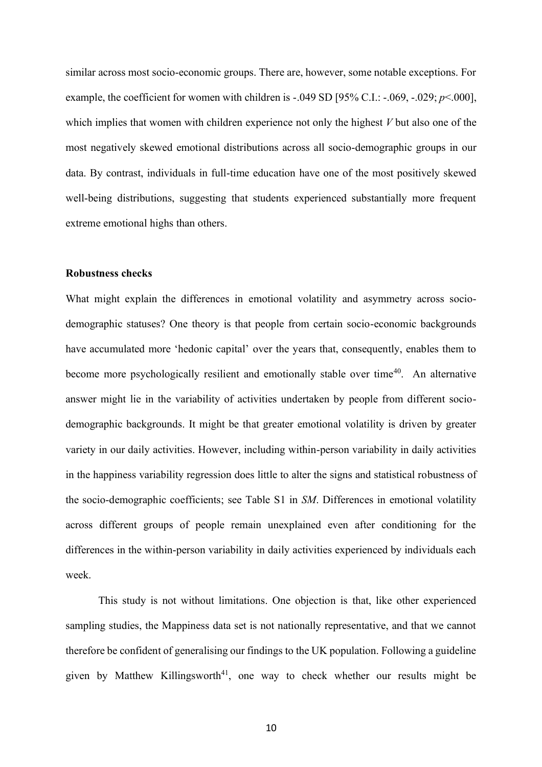similar across most socio-economic groups. There are, however, some notable exceptions. For example, the coefficient for women with children is -.049 SD [95% C.I.: -.069, -.029; *p*<.000], which implies that women with children experience not only the highest *V* but also one of the most negatively skewed emotional distributions across all socio-demographic groups in our data. By contrast, individuals in full-time education have one of the most positively skewed well-being distributions, suggesting that students experienced substantially more frequent extreme emotional highs than others.

## **Robustness checks**

What might explain the differences in emotional volatility and asymmetry across sociodemographic statuses? One theory is that people from certain socio-economic backgrounds have accumulated more 'hedonic capital' over the years that, consequently, enables them to become more psychologically resilient and emotionally stable over time<sup>40</sup>. An alternative answer might lie in the variability of activities undertaken by people from different sociodemographic backgrounds. It might be that greater emotional volatility is driven by greater variety in our daily activities. However, including within-person variability in daily activities in the happiness variability regression does little to alter the signs and statistical robustness of the socio-demographic coefficients; see Table S1 in *SM*. Differences in emotional volatility across different groups of people remain unexplained even after conditioning for the differences in the within-person variability in daily activities experienced by individuals each week.

This study is not without limitations. One objection is that, like other experienced sampling studies, the Mappiness data set is not nationally representative, and that we cannot therefore be confident of generalising our findings to the UK population. Following a guideline given by Matthew Killingsworth<sup>41</sup>, one way to check whether our results might be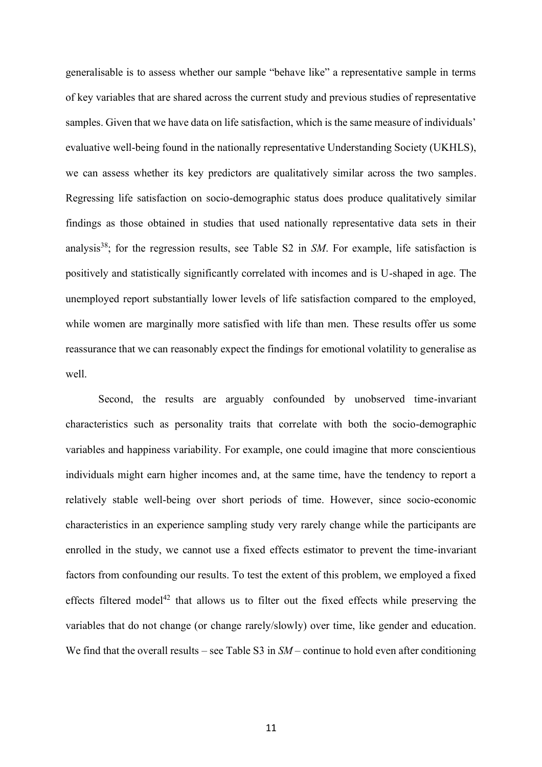generalisable is to assess whether our sample "behave like" a representative sample in terms of key variables that are shared across the current study and previous studies of representative samples. Given that we have data on life satisfaction, which is the same measure of individuals' evaluative well-being found in the nationally representative Understanding Society (UKHLS), we can assess whether its key predictors are qualitatively similar across the two samples. Regressing life satisfaction on socio-demographic status does produce qualitatively similar findings as those obtained in studies that used nationally representative data sets in their analysis<sup>38</sup>; for the regression results, see Table S2 in SM. For example, life satisfaction is positively and statistically significantly correlated with incomes and is U-shaped in age. The unemployed report substantially lower levels of life satisfaction compared to the employed, while women are marginally more satisfied with life than men. These results offer us some reassurance that we can reasonably expect the findings for emotional volatility to generalise as well.

Second, the results are arguably confounded by unobserved time-invariant characteristics such as personality traits that correlate with both the socio-demographic variables and happiness variability. For example, one could imagine that more conscientious individuals might earn higher incomes and, at the same time, have the tendency to report a relatively stable well-being over short periods of time. However, since socio-economic characteristics in an experience sampling study very rarely change while the participants are enrolled in the study, we cannot use a fixed effects estimator to prevent the time-invariant factors from confounding our results. To test the extent of this problem, we employed a fixed effects filtered model<sup>42</sup> that allows us to filter out the fixed effects while preserving the variables that do not change (or change rarely/slowly) over time, like gender and education. We find that the overall results – see Table S3 in  $SM$  – continue to hold even after conditioning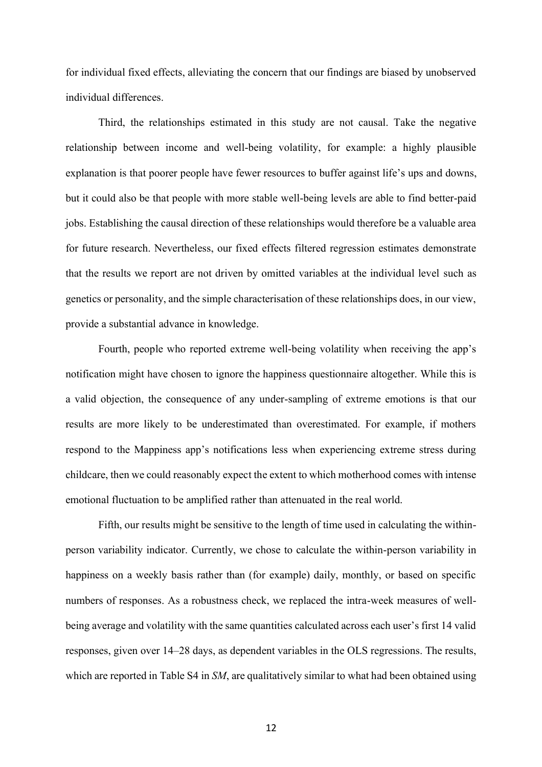for individual fixed effects, alleviating the concern that our findings are biased by unobserved individual differences.

Third, the relationships estimated in this study are not causal. Take the negative relationship between income and well-being volatility, for example: a highly plausible explanation is that poorer people have fewer resources to buffer against life's ups and downs, but it could also be that people with more stable well-being levels are able to find better-paid jobs. Establishing the causal direction of these relationships would therefore be a valuable area for future research. Nevertheless, our fixed effects filtered regression estimates demonstrate that the results we report are not driven by omitted variables at the individual level such as genetics or personality, and the simple characterisation of these relationships does, in our view, provide a substantial advance in knowledge.

Fourth, people who reported extreme well-being volatility when receiving the app's notification might have chosen to ignore the happiness questionnaire altogether. While this is a valid objection, the consequence of any under-sampling of extreme emotions is that our results are more likely to be underestimated than overestimated. For example, if mothers respond to the Mappiness app's notifications less when experiencing extreme stress during childcare, then we could reasonably expect the extent to which motherhood comes with intense emotional fluctuation to be amplified rather than attenuated in the real world.

Fifth, our results might be sensitive to the length of time used in calculating the withinperson variability indicator. Currently, we chose to calculate the within-person variability in happiness on a weekly basis rather than (for example) daily, monthly, or based on specific numbers of responses. As a robustness check, we replaced the intra-week measures of wellbeing average and volatility with the same quantities calculated across each user's first 14 valid responses, given over 14–28 days, as dependent variables in the OLS regressions. The results, which are reported in Table S4 in *SM*, are qualitatively similar to what had been obtained using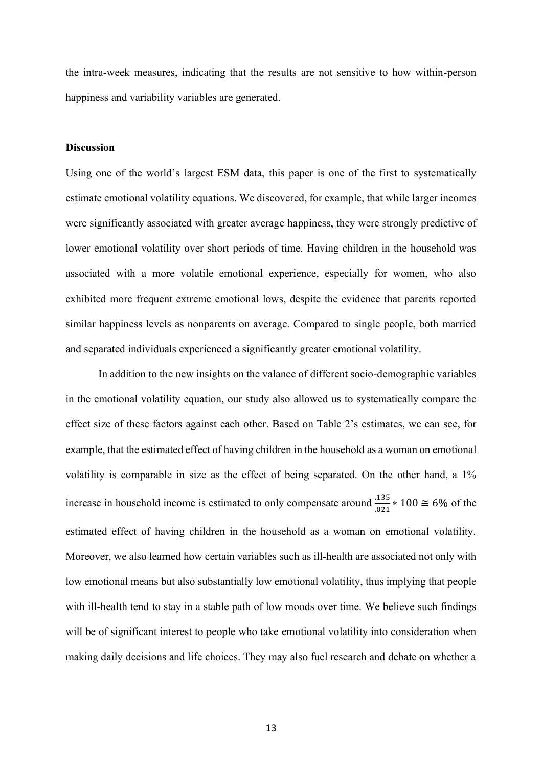the intra-week measures, indicating that the results are not sensitive to how within-person happiness and variability variables are generated.

## **Discussion**

Using one of the world's largest ESM data, this paper is one of the first to systematically estimate emotional volatility equations. We discovered, for example, that while larger incomes were significantly associated with greater average happiness, they were strongly predictive of lower emotional volatility over short periods of time. Having children in the household was associated with a more volatile emotional experience, especially for women, who also exhibited more frequent extreme emotional lows, despite the evidence that parents reported similar happiness levels as nonparents on average. Compared to single people, both married and separated individuals experienced a significantly greater emotional volatility.

In addition to the new insights on the valance of different socio-demographic variables in the emotional volatility equation, our study also allowed us to systematically compare the effect size of these factors against each other. Based on Table 2's estimates, we can see, for example, that the estimated effect of having children in the household as a woman on emotional volatility is comparable in size as the effect of being separated. On the other hand, a 1% increase in household income is estimated to only compensate around  $\frac{.135}{.021} * 100 \approx 6\%$  of the estimated effect of having children in the household as a woman on emotional volatility. Moreover, we also learned how certain variables such as ill-health are associated not only with low emotional means but also substantially low emotional volatility, thus implying that people with ill-health tend to stay in a stable path of low moods over time. We believe such findings will be of significant interest to people who take emotional volatility into consideration when making daily decisions and life choices. They may also fuel research and debate on whether a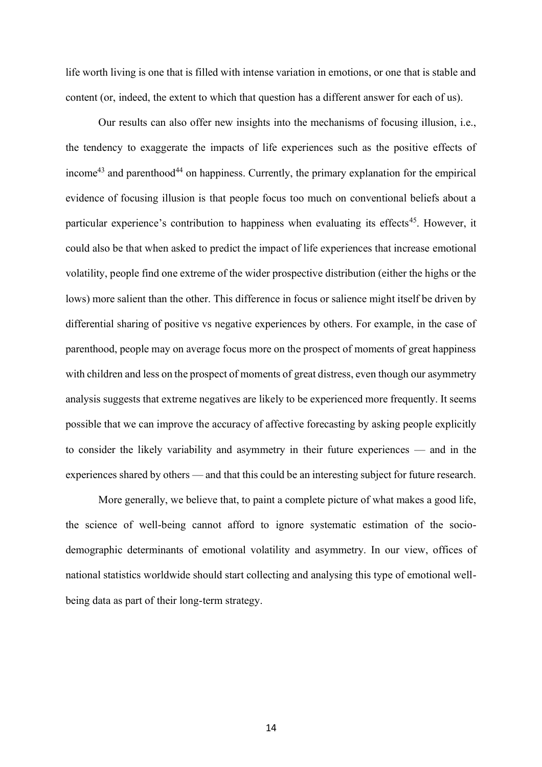life worth living is one that is filled with intense variation in emotions, or one that is stable and content (or, indeed, the extent to which that question has a different answer for each of us).

Our results can also offer new insights into the mechanisms of focusing illusion, i.e., the tendency to exaggerate the impacts of life experiences such as the positive effects of income<sup>43</sup> and parenthood<sup>44</sup> on happiness. Currently, the primary explanation for the empirical evidence of focusing illusion is that people focus too much on conventional beliefs about a particular experience's contribution to happiness when evaluating its effects<sup>45</sup>. However, it could also be that when asked to predict the impact of life experiences that increase emotional volatility, people find one extreme of the wider prospective distribution (either the highs or the lows) more salient than the other. This difference in focus or salience might itself be driven by differential sharing of positive vs negative experiences by others. For example, in the case of parenthood, people may on average focus more on the prospect of moments of great happiness with children and less on the prospect of moments of great distress, even though our asymmetry analysis suggests that extreme negatives are likely to be experienced more frequently. It seems possible that we can improve the accuracy of affective forecasting by asking people explicitly to consider the likely variability and asymmetry in their future experiences — and in the experiences shared by others — and that this could be an interesting subject for future research.

More generally, we believe that, to paint a complete picture of what makes a good life, the science of well-being cannot afford to ignore systematic estimation of the sociodemographic determinants of emotional volatility and asymmetry. In our view, offices of national statistics worldwide should start collecting and analysing this type of emotional wellbeing data as part of their long-term strategy.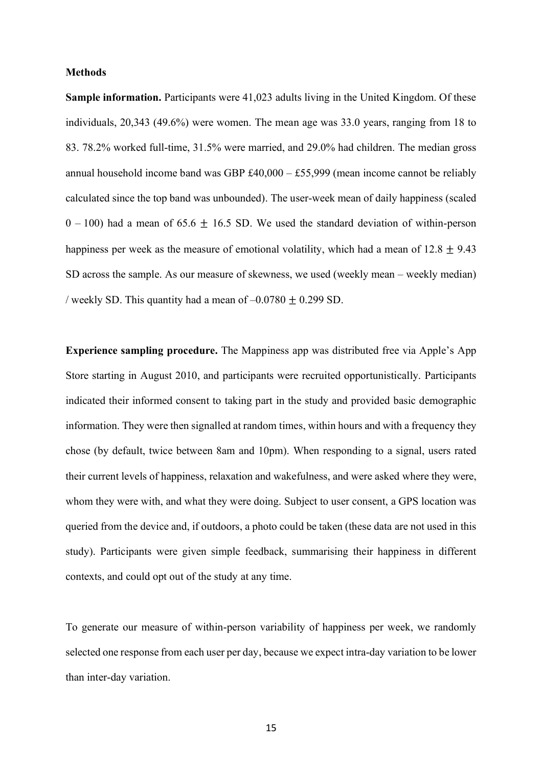### **Methods**

**Sample information.** Participants were 41,023 adults living in the United Kingdom. Of these individuals, 20,343 (49.6%) were women. The mean age was 33.0 years, ranging from 18 to 83. 78.2% worked full-time, 31.5% were married, and 29.0% had children. The median gross annual household income band was GBP £40,000 – £55,999 (mean income cannot be reliably calculated since the top band was unbounded). The user-week mean of daily happiness (scaled  $0 - 100$ ) had a mean of 65.6  $\pm$  16.5 SD. We used the standard deviation of within-person happiness per week as the measure of emotional volatility, which had a mean of  $12.8 \pm 9.43$ SD across the sample. As our measure of skewness, we used (weekly mean – weekly median) / weekly SD. This quantity had a mean of  $-0.0780 \pm 0.299$  SD.

**Experience sampling procedure.** The Mappiness app was distributed free via Apple's App Store starting in August 2010, and participants were recruited opportunistically. Participants indicated their informed consent to taking part in the study and provided basic demographic information. They were then signalled at random times, within hours and with a frequency they chose (by default, twice between 8am and 10pm). When responding to a signal, users rated their current levels of happiness, relaxation and wakefulness, and were asked where they were, whom they were with, and what they were doing. Subject to user consent, a GPS location was queried from the device and, if outdoors, a photo could be taken (these data are not used in this study). Participants were given simple feedback, summarising their happiness in different contexts, and could opt out of the study at any time.

To generate our measure of within-person variability of happiness per week, we randomly selected one response from each user per day, because we expect intra-day variation to be lower than inter-day variation.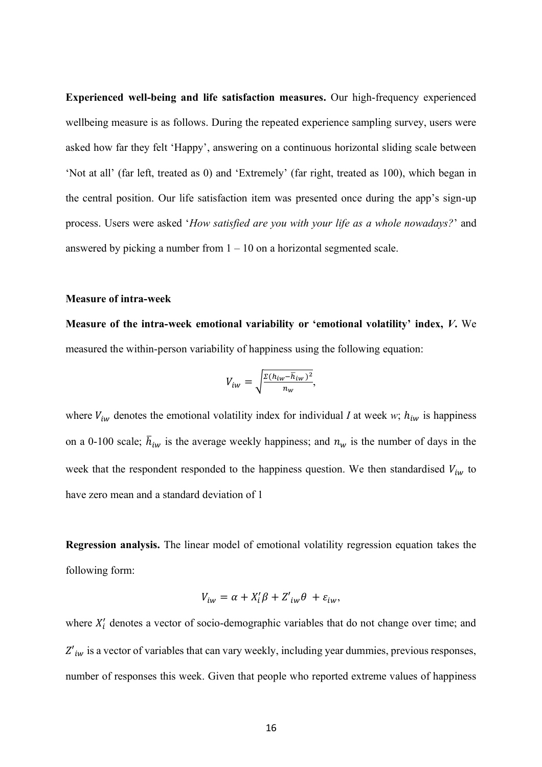**Experienced well-being and life satisfaction measures.** Our high-frequency experienced wellbeing measure is as follows. During the repeated experience sampling survey, users were asked how far they felt 'Happy', answering on a continuous horizontal sliding scale between 'Not at all' (far left, treated as 0) and 'Extremely' (far right, treated as 100), which began in the central position. Our life satisfaction item was presented once during the app's sign-up process. Users were asked '*How satisfied are you with your life as a whole nowadays?*' and answered by picking a number from  $1 - 10$  on a horizontal segmented scale.

### **Measure of intra-week**

**Measure of the intra-week emotional variability or 'emotional volatility' index,** *V***.** We measured the within-person variability of happiness using the following equation:

$$
V_{iw} = \sqrt{\frac{\Sigma (h_{iw} - \overline{h}_{iw})^2}{n_w}},
$$

where  $V_{iw}$  denotes the emotional volatility index for individual *I* at week *w*;  $h_{iw}$  is happiness on a 0-100 scale;  $\bar{h}_{iw}$  is the average weekly happiness; and  $n_w$  is the number of days in the week that the respondent responded to the happiness question. We then standardised  $V_{iw}$  to have zero mean and a standard deviation of 1

**Regression analysis.** The linear model of emotional volatility regression equation takes the following form:

$$
V_{iw} = \alpha + X'_i \beta + Z'_{iw} \theta + \varepsilon_{iw},
$$

where  $X'_i$  denotes a vector of socio-demographic variables that do not change over time; and  $Z'_{iw}$  is a vector of variables that can vary weekly, including year dummies, previous responses, number of responses this week. Given that people who reported extreme values of happiness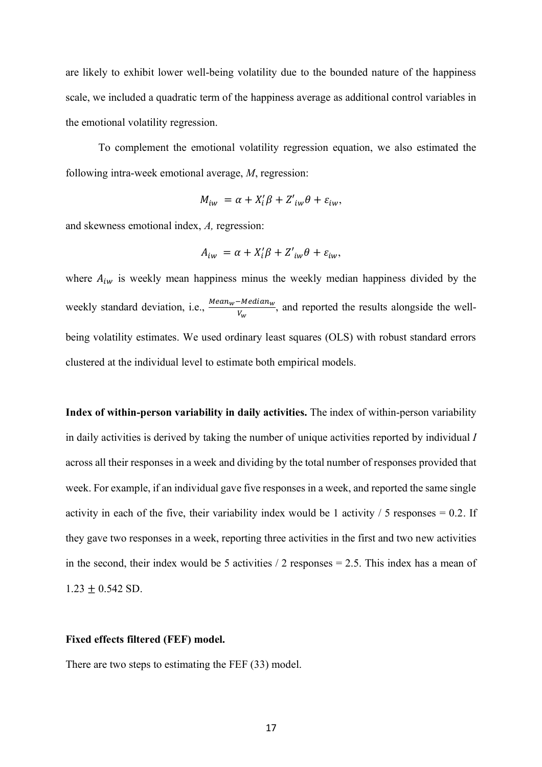are likely to exhibit lower well-being volatility due to the bounded nature of the happiness scale, we included a quadratic term of the happiness average as additional control variables in the emotional volatility regression.

To complement the emotional volatility regression equation, we also estimated the following intra-week emotional average, *M*, regression:

$$
M_{iw} = \alpha + X_i' \beta + Z'_{iw} \theta + \varepsilon_{iw},
$$

and skewness emotional index, *A,* regression:

$$
A_{iw} = \alpha + X_i' \beta + Z'_{iw} \theta + \varepsilon_{iw},
$$

where  $A_{iw}$  is weekly mean happiness minus the weekly median happiness divided by the weekly standard deviation, i.e.,  $\frac{Mean_w - Median_w}{V_w}$ , and reported the results alongside the wellbeing volatility estimates. We used ordinary least squares (OLS) with robust standard errors clustered at the individual level to estimate both empirical models.

**Index of within-person variability in daily activities.** The index of within-person variability in daily activities is derived by taking the number of unique activities reported by individual *I* across all their responses in a week and dividing by the total number of responses provided that week. For example, if an individual gave five responses in a week, and reported the same single activity in each of the five, their variability index would be 1 activity  $\ell$  5 responses = 0.2. If they gave two responses in a week, reporting three activities in the first and two new activities in the second, their index would be 5 activities  $/2$  responses = 2.5. This index has a mean of  $1.23 \pm 0.542$  SD.

### **Fixed effects filtered (FEF) model.**

There are two steps to estimating the FEF (33) model.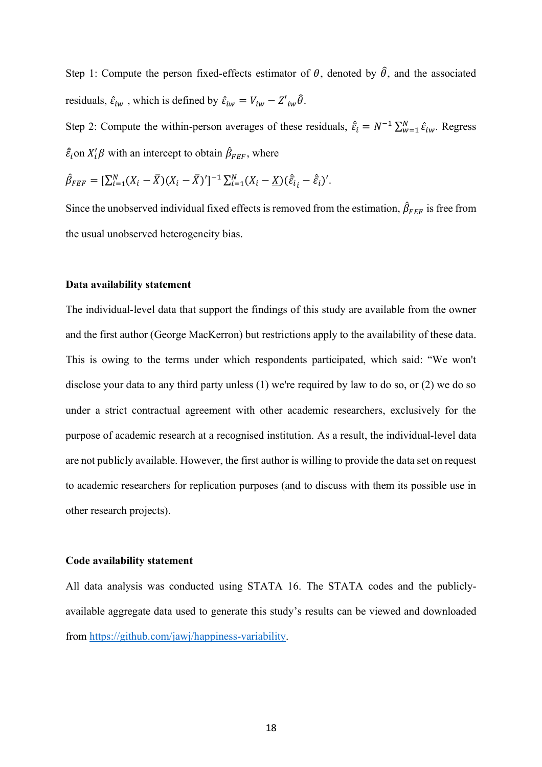Step 1: Compute the person fixed-effects estimator of  $\theta$ , denoted by  $\hat{\theta}$ , and the associated residuals,  $\hat{\varepsilon}_{iw}$ , which is defined by  $\hat{\varepsilon}_{iw} = V_{iw} - Z'_{iw}\hat{\theta}$ .

Step 2: Compute the within-person averages of these residuals,  $\hat{\bar{\varepsilon}}_i = N^{-1} \sum_{w=1}^N \hat{\varepsilon}_{iw}$ . Regress  $\hat{\bar{\varepsilon}}_i$ on  $X'_i\beta$  with an intercept to obtain  $\hat{\beta}_{FEF}$ , where

$$
\hat{\beta}_{FEF} = [\sum_{i=1}^{N} (X_i - \bar{X})(X_i - \bar{X})']^{-1} \sum_{i=1}^{N} (X_i - \underline{X})(\hat{\varepsilon}_{i} - \hat{\varepsilon}_{i})'.
$$

Since the unobserved individual fixed effects is removed from the estimation,  $\hat{\beta}_{FEF}$  is free from the usual unobserved heterogeneity bias.

## **Data availability statement**

The individual-level data that support the findings of this study are available from the owner and the first author (George MacKerron) but restrictions apply to the availability of these data. This is owing to the terms under which respondents participated, which said: "We won't disclose your data to any third party unless (1) we're required by law to do so, or (2) we do so under a strict contractual agreement with other academic researchers, exclusively for the purpose of academic research at a recognised institution. As a result, the individual-level data are not publicly available. However, the first author is willing to provide the data set on request to academic researchers for replication purposes (and to discuss with them its possible use in other research projects).

#### **Code availability statement**

All data analysis was conducted using STATA 16. The STATA codes and the publiclyavailable aggregate data used to generate this study's results can be viewed and downloaded from [https://github.com/jawj/happiness-variability.](https://github.com/jawj/happiness-variability)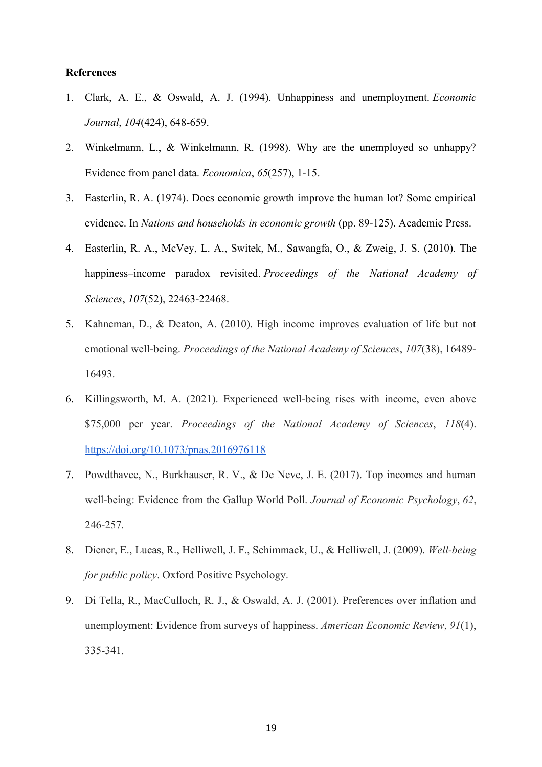## **References**

- 1. Clark, A. E., & Oswald, A. J. (1994). Unhappiness and unemployment. *Economic Journal*, *104*(424), 648-659.
- 2. Winkelmann, L., & Winkelmann, R. (1998). Why are the unemployed so unhappy? Evidence from panel data. *Economica*, *65*(257), 1-15.
- 3. Easterlin, R. A. (1974). Does economic growth improve the human lot? Some empirical evidence. In *Nations and households in economic growth* (pp. 89-125). Academic Press.
- 4. Easterlin, R. A., McVey, L. A., Switek, M., Sawangfa, O., & Zweig, J. S. (2010). The happiness–income paradox revisited. *Proceedings of the National Academy of Sciences*, *107*(52), 22463-22468.
- 5. Kahneman, D., & Deaton, A. (2010). High income improves evaluation of life but not emotional well-being. *Proceedings of the National Academy of Sciences*, *107*(38), 16489- 16493.
- 6. Killingsworth, M. A. (2021). Experienced well-being rises with income, even above \$75,000 per year. *Proceedings of the National Academy of Sciences*, *118*(4). <https://doi.org/10.1073/pnas.2016976118>
- 7. Powdthavee, N., Burkhauser, R. V., & De Neve, J. E. (2017). Top incomes and human well-being: Evidence from the Gallup World Poll. *Journal of Economic Psychology*, *62*, 246-257.
- 8. Diener, E., Lucas, R., Helliwell, J. F., Schimmack, U., & Helliwell, J. (2009). *Well-being for public policy*. Oxford Positive Psychology.
- 9. Di Tella, R., MacCulloch, R. J., & Oswald, A. J. (2001). Preferences over inflation and unemployment: Evidence from surveys of happiness. *American Economic Review*, *91*(1), 335-341.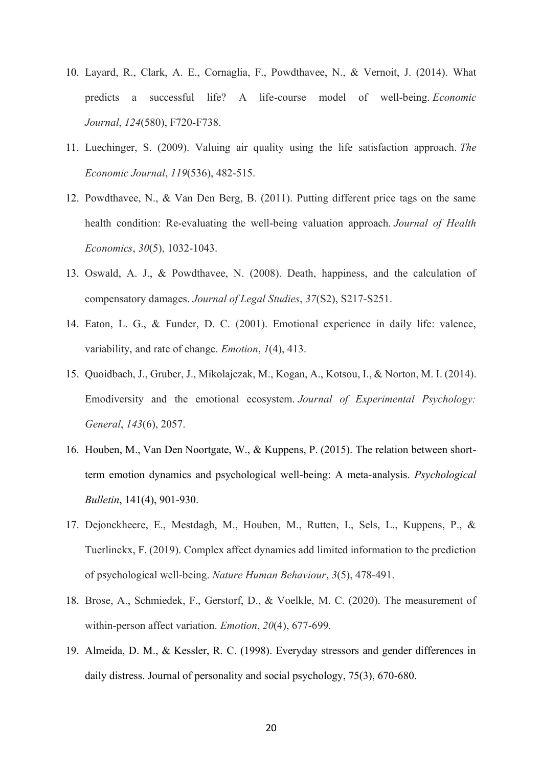- 10. Layard, R., Clark, A. E., Cornaglia, F., Powdthavee, N., & Vernoit, J. (2014). What predicts a successful life? A life-course model of well-being. *Economic Journal*, *124*(580), F720-F738.
- 11. Luechinger, S. (2009). Valuing air quality using the life satisfaction approach. *The Economic Journal*, *119*(536), 482-515.
- 12. Powdthavee, N., & Van Den Berg, B. (2011). Putting different price tags on the same health condition: Re-evaluating the well-being valuation approach. *Journal of Health Economics*, *30*(5), 1032-1043.
- 13. Oswald, A. J., & Powdthavee, N. (2008). Death, happiness, and the calculation of compensatory damages. *Journal of Legal Studies*, *37*(S2), S217-S251.
- 14. Eaton, L. G., & Funder, D. C. (2001). Emotional experience in daily life: valence, variability, and rate of change. *Emotion*, *1*(4), 413.
- 15. Quoidbach, J., Gruber, J., Mikolajczak, M., Kogan, A., Kotsou, I., & Norton, M. I. (2014). Emodiversity and the emotional ecosystem. *Journal of Experimental Psychology: General*, *143*(6), 2057.
- 16. Houben, M., Van Den Noortgate, W., & Kuppens, P. (2015). The relation between shortterm emotion dynamics and psychological well-being: A meta-analysis. *Psychological Bulletin*, 141(4), 901-930.
- 17. Dejonckheere, E., Mestdagh, M., Houben, M., Rutten, I., Sels, L., Kuppens, P., & Tuerlinckx, F. (2019). Complex affect dynamics add limited information to the prediction of psychological well-being. *Nature Human Behaviour*, *3*(5), 478-491.
- 18. Brose, A., Schmiedek, F., Gerstorf, D., & Voelkle, M. C. (2020). The measurement of within-person affect variation. *Emotion*, *20*(4), 677-699.
- 19. Almeida, D. M., & Kessler, R. C. (1998). Everyday stressors and gender differences in daily distress. Journal of personality and social psychology, 75(3), 670-680.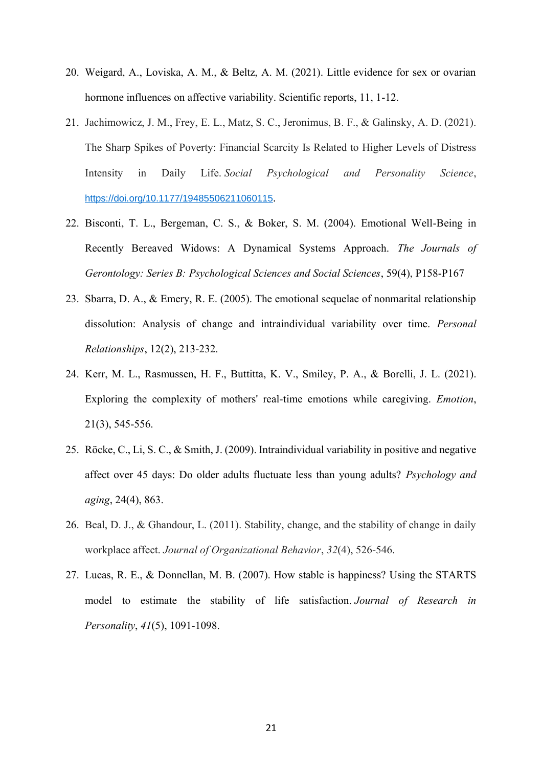- 20. Weigard, A., Loviska, A. M., & Beltz, A. M. (2021). Little evidence for sex or ovarian hormone influences on affective variability. Scientific reports, 11, 1-12.
- 21. Jachimowicz, J. M., Frey, E. L., Matz, S. C., Jeronimus, B. F., & Galinsky, A. D. (2021). The Sharp Spikes of Poverty: Financial Scarcity Is Related to Higher Levels of Distress Intensity in Daily Life. *Social Psychological and Personality Science*, [https://doi.org/10.1177/19485506211060115](https://doi.org/10.1177%2F19485506211060115).
- 22. Bisconti, T. L., Bergeman, C. S., & Boker, S. M. (2004). Emotional Well-Being in Recently Bereaved Widows: A Dynamical Systems Approach. *The Journals of Gerontology: Series B: Psychological Sciences and Social Sciences*, 59(4), P158-P167
- 23. Sbarra, D. A., & Emery, R. E. (2005). The emotional sequelae of nonmarital relationship dissolution: Analysis of change and intraindividual variability over time. *Personal Relationships*, 12(2), 213-232.
- 24. Kerr, M. L., Rasmussen, H. F., Buttitta, K. V., Smiley, P. A., & Borelli, J. L. (2021). Exploring the complexity of mothers' real-time emotions while caregiving. *Emotion*, 21(3), 545-556.
- 25. Röcke, C., Li, S. C., & Smith, J. (2009). Intraindividual variability in positive and negative affect over 45 days: Do older adults fluctuate less than young adults? *Psychology and aging*, 24(4), 863.
- 26. Beal, D. J., & Ghandour, L. (2011). Stability, change, and the stability of change in daily workplace affect. *Journal of Organizational Behavior*, *32*(4), 526-546.
- 27. Lucas, R. E., & Donnellan, M. B. (2007). How stable is happiness? Using the STARTS model to estimate the stability of life satisfaction. *Journal of Research in Personality*, *41*(5), 1091-1098.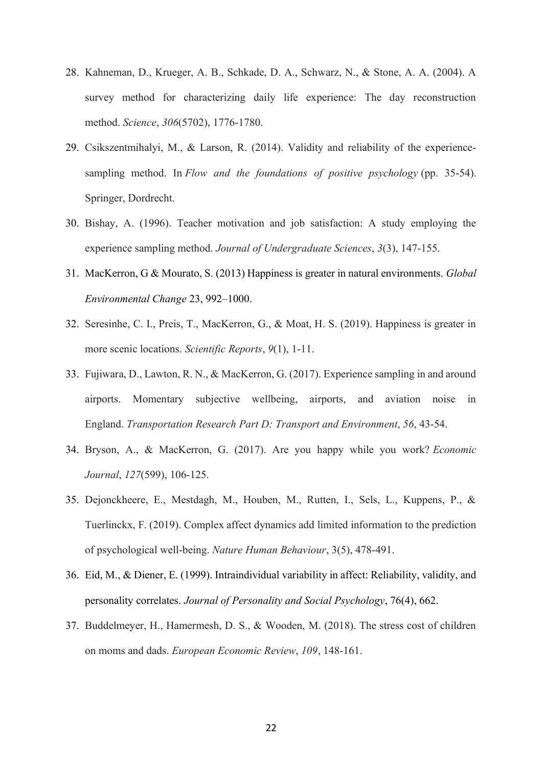- 28. Kahneman, D., Krueger, A. B., Schkade, D. A., Schwarz, N., & Stone, A. A. (2004). A survey method for characterizing daily life experience: The day reconstruction method. *Science*, *306*(5702), 1776-1780.
- 29. Csikszentmihalyi, M., & Larson, R. (2014). Validity and reliability of the experiencesampling method. In *Flow and the foundations of positive psychology* (pp. 35-54). Springer, Dordrecht.
- 30. Bishay, A. (1996). Teacher motivation and job satisfaction: A study employing the experience sampling method. *Journal of Undergraduate Sciences*, *3*(3), 147-155.
- 31. MacKerron, G & Mourato, S. (2013) Happiness is greater in natural environments. *Global Environmental Change* 23, 992–1000.
- 32. Seresinhe, C. I., Preis, T., MacKerron, G., & Moat, H. S. (2019). Happiness is greater in more scenic locations. *Scientific Reports*, *9*(1), 1-11.
- 33. Fujiwara, D., Lawton, R. N., & MacKerron, G. (2017). Experience sampling in and around airports. Momentary subjective wellbeing, airports, and aviation noise in England. *Transportation Research Part D: Transport and Environment*, *56*, 43-54.
- 34. Bryson, A., & MacKerron, G. (2017). Are you happy while you work? *Economic Journal*, *127*(599), 106-125.
- 35. Dejonckheere, E., Mestdagh, M., Houben, M., Rutten, I., Sels, L., Kuppens, P., & Tuerlinckx, F. (2019). Complex affect dynamics add limited information to the prediction of psychological well-being. *Nature Human Behaviour*, 3(5), 478-491.
- 36. Eid, M., & Diener, E. (1999). Intraindividual variability in affect: Reliability, validity, and personality correlates. *Journal of Personality and Social Psychology*, 76(4), 662.
- 37. Buddelmeyer, H., Hamermesh, D. S., & Wooden, M. (2018). The stress cost of children on moms and dads. *European Economic Review*, *109*, 148-161.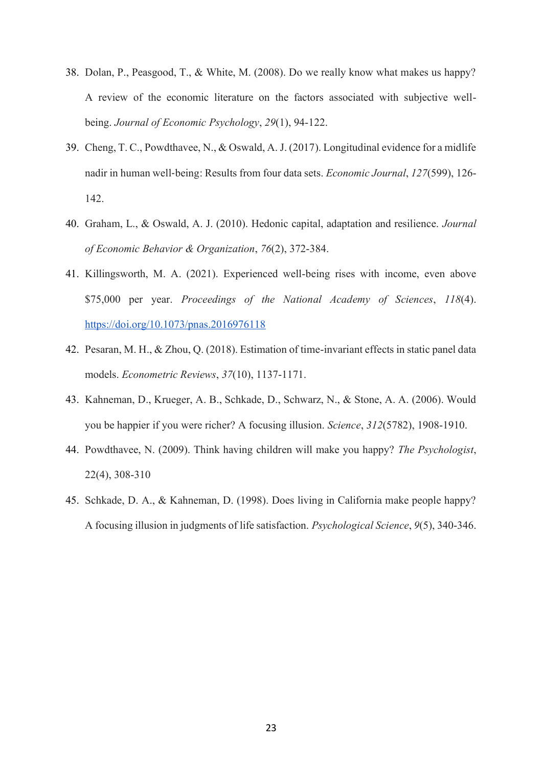- 38. Dolan, P., Peasgood, T., & White, M. (2008). Do we really know what makes us happy? A review of the economic literature on the factors associated with subjective wellbeing. *Journal of Economic Psychology*, *29*(1), 94-122.
- 39. Cheng, T. C., Powdthavee, N., & Oswald, A. J. (2017). Longitudinal evidence for a midlife nadir in human well‐being: Results from four data sets. *Economic Journal*, *127*(599), 126- 142.
- 40. Graham, L., & Oswald, A. J. (2010). Hedonic capital, adaptation and resilience. *Journal of Economic Behavior & Organization*, *76*(2), 372-384.
- 41. Killingsworth, M. A. (2021). Experienced well-being rises with income, even above \$75,000 per year. *Proceedings of the National Academy of Sciences*, *118*(4). <https://doi.org/10.1073/pnas.2016976118>
- 42. Pesaran, M. H., & Zhou, Q. (2018). Estimation of time-invariant effects in static panel data models. *Econometric Reviews*, *37*(10), 1137-1171.
- 43. Kahneman, D., Krueger, A. B., Schkade, D., Schwarz, N., & Stone, A. A. (2006). Would you be happier if you were richer? A focusing illusion. *Science*, *312*(5782), 1908-1910.
- 44. Powdthavee, N. (2009). Think having children will make you happy? *The Psychologist*, 22(4), 308-310
- 45. Schkade, D. A., & Kahneman, D. (1998). Does living in California make people happy? A focusing illusion in judgments of life satisfaction. *Psychological Science*, *9*(5), 340-346.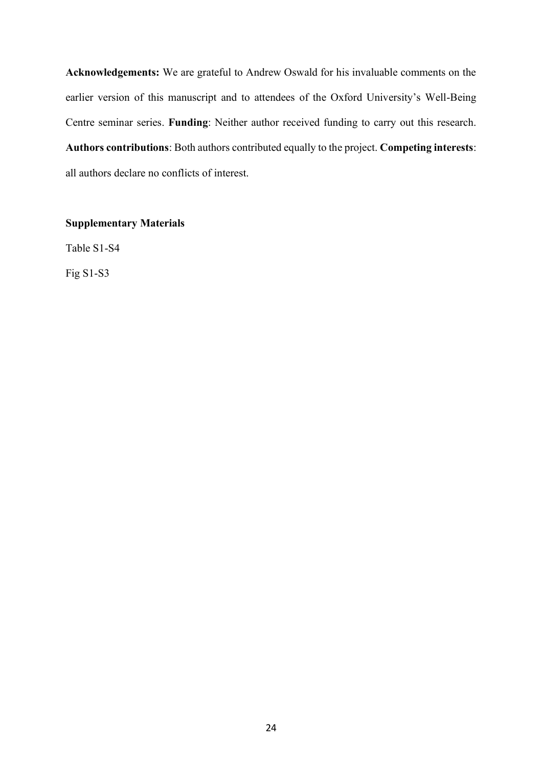**Acknowledgements:** We are grateful to Andrew Oswald for his invaluable comments on the earlier version of this manuscript and to attendees of the Oxford University's Well-Being Centre seminar series. **Funding**: Neither author received funding to carry out this research. **Authors contributions**: Both authors contributed equally to the project. **Competing interests**: all authors declare no conflicts of interest.

## **Supplementary Materials**

Table S1-S4

Fig S1-S3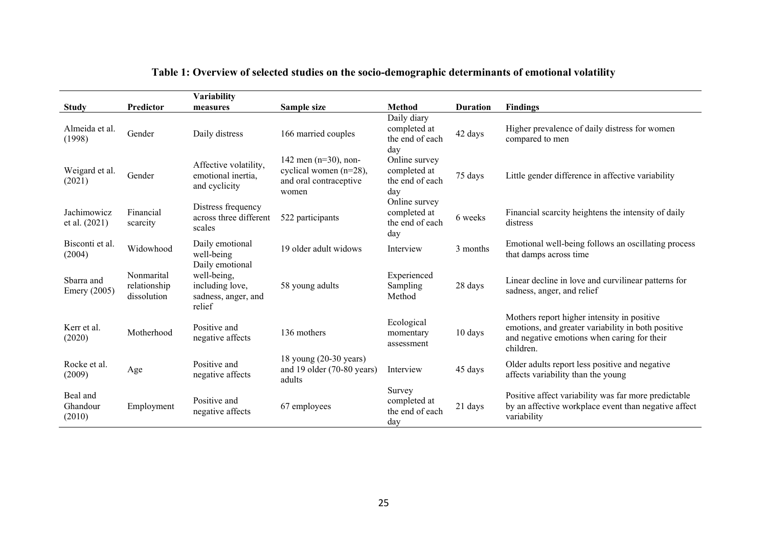|                                   |                                           | Variability                                                                        |                                                                                      |                                                         |                 |                                                                                                                                                               |
|-----------------------------------|-------------------------------------------|------------------------------------------------------------------------------------|--------------------------------------------------------------------------------------|---------------------------------------------------------|-----------------|---------------------------------------------------------------------------------------------------------------------------------------------------------------|
| <b>Study</b>                      | Predictor                                 | measures                                                                           | Sample size                                                                          | <b>Method</b>                                           | <b>Duration</b> | <b>Findings</b>                                                                                                                                               |
| Almeida et al.<br>(1998)          | Gender                                    | Daily distress                                                                     | 166 married couples                                                                  | Daily diary<br>completed at<br>the end of each<br>day   | 42 days         | Higher prevalence of daily distress for women<br>compared to men                                                                                              |
| Weigard et al.<br>(2021)          | Gender                                    | Affective volatility,<br>emotional inertia,<br>and cyclicity                       | 142 men $(n=30)$ , non-<br>cyclical women (n=28),<br>and oral contraceptive<br>women | Online survey<br>completed at<br>the end of each<br>day | 75 days         | Little gender difference in affective variability                                                                                                             |
| Jachimowicz<br>et al. (2021)      | Financial<br>scarcity                     | Distress frequency<br>across three different<br>scales                             | 522 participants                                                                     | Online survey<br>completed at<br>the end of each<br>day | 6 weeks         | Financial scarcity heightens the intensity of daily<br>distress                                                                                               |
| Bisconti et al.<br>(2004)         | Widowhood                                 | Daily emotional<br>well-being                                                      | 19 older adult widows                                                                | Interview                                               | 3 months        | Emotional well-being follows an oscillating process<br>that damps across time                                                                                 |
| Sbarra and<br><b>Emery</b> (2005) | Nonmarital<br>relationship<br>dissolution | Daily emotional<br>well-being,<br>including love,<br>sadness, anger, and<br>relief | 58 young adults                                                                      | Experienced<br>Sampling<br>Method                       | 28 days         | Linear decline in love and curvilinear patterns for<br>sadness, anger, and relief                                                                             |
| Kerr et al.<br>(2020)             | Motherhood                                | Positive and<br>negative affects                                                   | 136 mothers                                                                          | Ecological<br>momentary<br>assessment                   | 10 days         | Mothers report higher intensity in positive<br>emotions, and greater variability in both positive<br>and negative emotions when caring for their<br>children. |
| Rocke et al.<br>(2009)            | Age                                       | Positive and<br>negative affects                                                   | 18 young (20-30 years)<br>and 19 older (70-80 years)<br>adults                       | Interview                                               | 45 days         | Older adults report less positive and negative<br>affects variability than the young                                                                          |
| Beal and<br>Ghandour<br>(2010)    | Employment                                | Positive and<br>negative affects                                                   | 67 employees                                                                         | Survey<br>completed at<br>the end of each<br>day        | 21 days         | Positive affect variability was far more predictable<br>by an affective workplace event than negative affect<br>variability                                   |

# **Table 1: Overview of selected studies on the socio-demographic determinants of emotional volatility**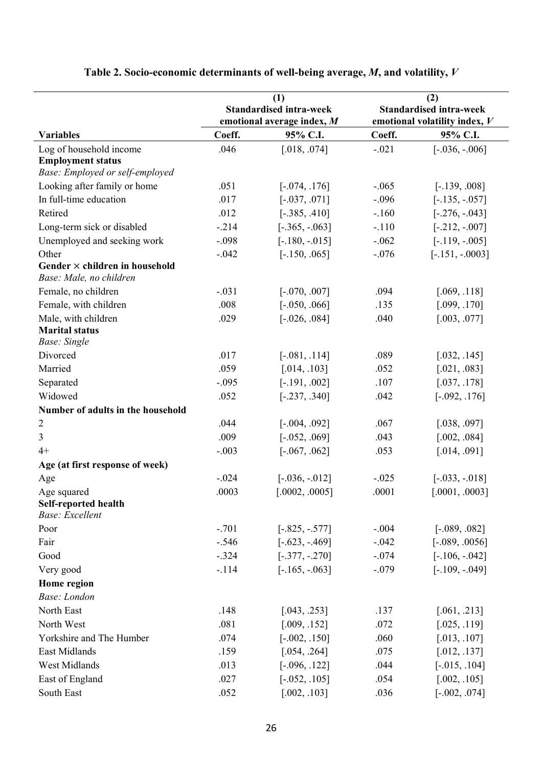|                                                | (1)                        |                                | (2)                            |                               |
|------------------------------------------------|----------------------------|--------------------------------|--------------------------------|-------------------------------|
|                                                |                            | <b>Standardised intra-week</b> | <b>Standardised intra-week</b> |                               |
|                                                | emotional average index, M |                                |                                | emotional volatility index, V |
| <b>Variables</b>                               | Coeff.                     | 95% C.I.                       | Coeff.                         | 95% C.I.                      |
| Log of household income                        | .046                       | [.018, .074]                   | $-.021$                        | $[-.036, -.006]$              |
| <b>Employment status</b>                       |                            |                                |                                |                               |
| Base: Employed or self-employed                |                            |                                |                                |                               |
| Looking after family or home                   | .051                       | $[-.074, .176]$                | $-.065$                        | $[-.139, .008]$               |
| In full-time education                         | .017                       | $[-.037, .071]$                | $-.096$                        | $[-.135, -.057]$              |
| Retired                                        | .012                       | $[-.385, .410]$                | $-.160$                        | $[-.276, -.043]$              |
| Long-term sick or disabled                     | $-.214$                    | $[-.365, -.063]$               | $-.110$                        | $[-.212, -.007]$              |
| Unemployed and seeking work                    | $-.098$                    | $[-.180, -.015]$               | $-.062$                        | $[-.119, -.005]$              |
| Other                                          | $-.042$                    | $[-.150, .065]$                | $-.076$                        | $[-.151, -0003]$              |
| Gender $\times$ children in household          |                            |                                |                                |                               |
| Base: Male, no children                        |                            |                                |                                |                               |
| Female, no children                            | $-.031$                    | $[-.070, .007]$                | .094                           | [.069, .118]                  |
| Female, with children                          | .008                       | $[-.050, .066]$                | .135                           | [.099, .170]                  |
| Male, with children                            | .029                       | $[-.026, .084]$                | .040                           | [.003, .077]                  |
| <b>Marital status</b><br><b>Base:</b> Single   |                            |                                |                                |                               |
| Divorced                                       | .017                       | $[-.081, .114]$                | .089                           | [.032, .145]                  |
| Married                                        | .059                       | [.014, .103]                   | .052                           | [.021, .083]                  |
| Separated                                      | $-.095$                    | $[-.191, .002]$                | .107                           | [.037, .178]                  |
| Widowed                                        | .052                       | $[-.237, .340]$                | .042                           | $[-.092, .176]$               |
| Number of adults in the household              |                            |                                |                                |                               |
| $\overline{2}$                                 | .044                       | $[-.004, .092]$                | .067                           | [.038, .097]                  |
| $\mathfrak{Z}$                                 | .009                       | $[-.052, .069]$                | .043                           | [.002, .084]                  |
| $4+$                                           | $-.003$                    | $[-.067, .062]$                | .053                           | [.014, .091]                  |
| Age (at first response of week)                |                            |                                |                                |                               |
| Age                                            | $-.024$                    | $[-.036, -.012]$               | $-.025$                        | $[-.033, -.018]$              |
| Age squared                                    | .0003                      | [.0002, .0005]                 | .0001                          | [.0001, .0003]                |
| Self-reported health<br><b>Base:</b> Excellent |                            |                                |                                |                               |
| Poor                                           | $-.701$                    | $[-.825, -.577]$               | $-.004$                        | $[-.089, .082]$               |
| Fair                                           | $-.546$                    | $[-.623, -0.469]$              | $-.042$                        | $[-.089, .0056]$              |
| Good                                           | $-.324$                    | $[-.377, -.270]$               | $-.074$                        | $[-.106, -.042]$              |
| Very good                                      | $-.114$                    | $[-.165, -.063]$               | $-.079$                        | $[-.109, -.049]$              |
| Home region                                    |                            |                                |                                |                               |
| Base: London                                   |                            |                                |                                |                               |
| North East                                     | .148                       | [.043, .253]                   | .137                           | [.061, .213]                  |
| North West                                     | .081                       | [.009, .152]                   | .072                           | [.025, .119]                  |
| Yorkshire and The Humber                       | .074                       | $[-.002, .150]$                | .060                           | [.013, .107]                  |
| East Midlands                                  | .159                       | [.054, .264]                   | .075                           | [.012, .137]                  |
| West Midlands                                  | .013                       | $[-.096, .122]$                | .044                           | $[-.015, .104]$               |
| East of England                                | .027                       | $[-.052, .105]$                | .054                           | [.002, .105]                  |
| South East                                     | .052                       | [.002, .103]                   | .036                           | $[-.002, .074]$               |

# **Table 2. Socio-economic determinants of well-being average,** *M***, and volatility,** *V*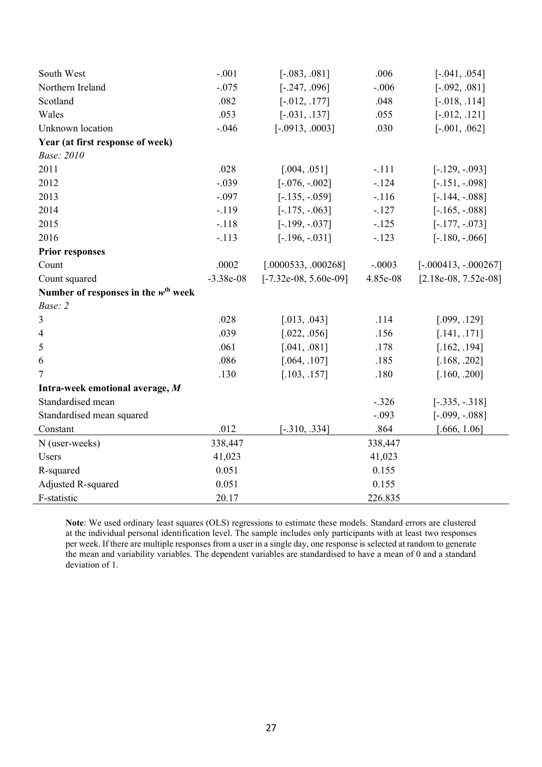| South West                                      | $-.001$     | $[-.083, .081]$         | .006     | $[-.041, .054]$        |
|-------------------------------------------------|-------------|-------------------------|----------|------------------------|
| Northern Ireland                                | $-.075$     | $[-.247, .096]$         | $-.006$  | $[-.092, .081]$        |
| Scotland                                        | .082        | $[-.012, .177]$         | .048     | $[-.018, .114]$        |
| Wales                                           | .053        | $[-.031, .137]$         | .055     | $[-.012, .121]$        |
| Unknown location                                | $-.046$     | $[-.0913, .0003]$       | .030     | $[-.001, .062]$        |
| Year (at first response of week)                |             |                         |          |                        |
| <b>Base: 2010</b>                               |             |                         |          |                        |
| 2011                                            | .028        | [.004, .051]            | $-.111$  | $[-.129, -093]$        |
| 2012                                            | $-.039$     | $[-.076, -.002]$        | $-124$   | $[-.151, -0.098]$      |
| 2013                                            | $-.097$     | $[-.135, -0.059]$       | $-.116$  | $[-.144, -.088]$       |
| 2014                                            | $-.119$     | $[-.175, -.063]$        | $-.127$  | $[-.165, -.088]$       |
| 2015                                            | $-.118$     | $[-.199, -037]$         | $-.125$  | $[-.177, -0.073]$      |
| 2016                                            | $-.113$     | $[-.196, -.031]$        | $-.123$  | $[-.180, -066]$        |
| <b>Prior responses</b>                          |             |                         |          |                        |
| Count                                           | .0002       | [.0000533, .000268]     | $-.0003$ | $[-.000413, -.000267]$ |
| Count squared                                   | $-3.38e-08$ | $[-7.32e-08, 5.60e-09]$ | 4.85e-08 | $[2.18e-08, 7.52e-08]$ |
| Number of responses in the $w^{\text{th}}$ week |             |                         |          |                        |
| Base: 2                                         |             |                         |          |                        |
| $\overline{3}$                                  | .028        | [.013, .043]            | .114     | [.099, .129]           |
| $\overline{4}$                                  | .039        | [.022, .056]            | .156     | [.141, .171]           |
| 5                                               | .061        | [.041, .081]            | .178     | [.162, .194]           |
| 6                                               | .086        | [.064, .107]            | .185     | [.168, .202]           |
| $\overline{7}$                                  | .130        | [.103, .157]            | .180     | [.160, .200]           |
| Intra-week emotional average, M                 |             |                         |          |                        |
| Standardised mean                               |             |                         | $-.326$  | $[-.335, -.318]$       |
| Standardised mean squared                       |             |                         | $-.093$  | $[-.099, -.088]$       |
| Constant                                        | .012        | $[-.310, .334]$         | .864     | [.666, 1.06]           |
| N (user-weeks)                                  | 338,447     |                         | 338,447  |                        |
| Users                                           | 41,023      |                         | 41,023   |                        |
| R-squared                                       | 0.051       |                         | 0.155    |                        |
| Adjusted R-squared                              | 0.051       |                         | 0.155    |                        |
| F-statistic                                     | 20.17       |                         | 226.835  |                        |

**Note**: We used ordinary least squares (OLS) regressions to estimate these models. Standard errors are clustered at the individual personal identification level. The sample includes only participants with at least two responses per week. If there are multiple responses from a user in a single day, one response is selected at random to generate the mean and variability variables. The dependent variables are standardised to have a mean of 0 and a standard deviation of 1.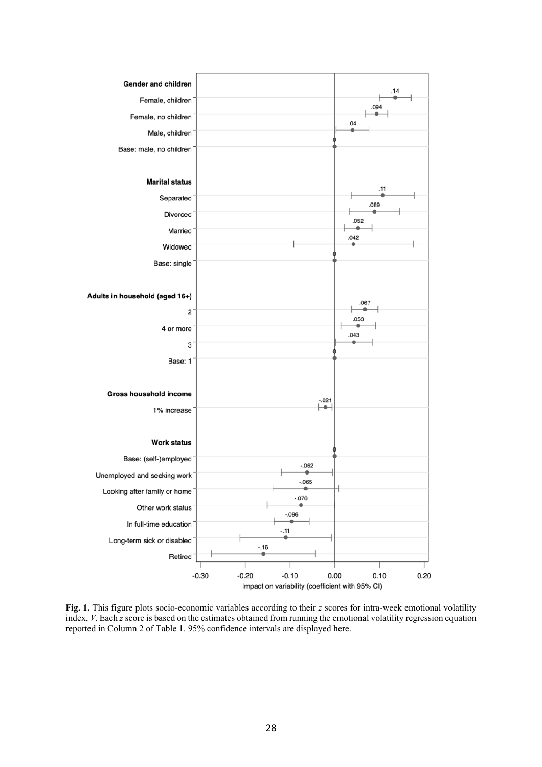

**Fig. 1.** This figure plots socio-economic variables according to their *z* scores for intra-week emotional volatility index, *V*. Each *z* score is based on the estimates obtained from running the emotional volatility regression equation reported in Column 2 of Table 1. 95% confidence intervals are displayed here.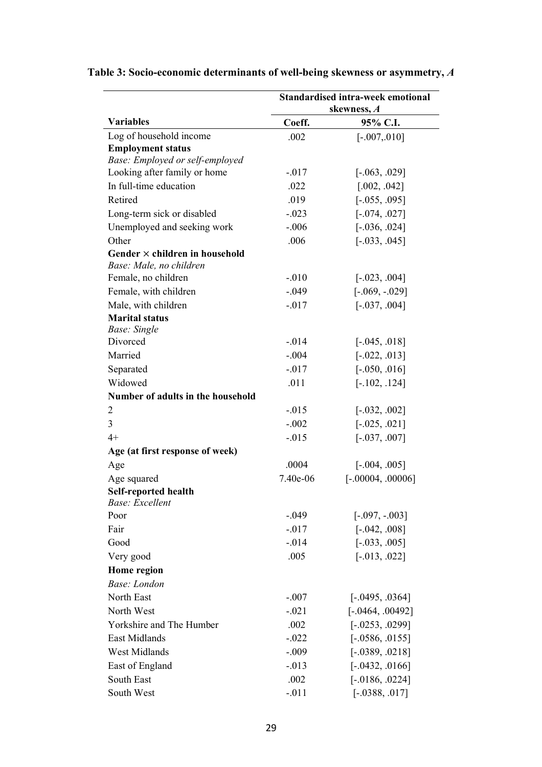|                                                                  |          | <b>Standardised intra-week emotional</b><br>skewness, A |
|------------------------------------------------------------------|----------|---------------------------------------------------------|
| <b>Variables</b>                                                 | Coeff.   | 95% C.I.                                                |
| Log of household income                                          | .002     | $[-.007, 010]$                                          |
| <b>Employment status</b>                                         |          |                                                         |
| Base: Employed or self-employed                                  |          |                                                         |
| Looking after family or home                                     | $-.017$  | $[-.063, .029]$                                         |
| In full-time education                                           | .022     | [.002, .042]                                            |
| Retired                                                          | .019     | $[-.055, .095]$                                         |
| Long-term sick or disabled                                       | $-.023$  | $[-.074, .027]$                                         |
| Unemployed and seeking work                                      | $-.006$  | $[-.036, .024]$                                         |
| Other                                                            | .006     | $[-.033, .045]$                                         |
| Gender $\times$ children in household<br>Base: Male, no children |          |                                                         |
| Female, no children                                              | $-.010$  | $[-.023, .004]$                                         |
| Female, with children                                            | $-.049$  | $[-.069, -.029]$                                        |
| Male, with children                                              | $-.017$  | $[-.037, .004]$                                         |
| <b>Marital status</b><br><b>Base:</b> Single                     |          |                                                         |
| Divorced                                                         | $-.014$  | $[-.045, .018]$                                         |
| Married                                                          | $-.004$  | $[-.022, .013]$                                         |
| Separated                                                        | $-.017$  | $[-.050, .016]$                                         |
| Widowed                                                          | .011     | $[-.102, .124]$                                         |
| Number of adults in the household                                |          |                                                         |
| $\overline{2}$                                                   | $-0.015$ | $[-.032, .002]$                                         |
| 3                                                                | $-.002$  | $[-.025, .021]$                                         |
| $4+$                                                             | $-.015$  | $[-.037, .007]$                                         |
| Age (at first response of week)                                  |          |                                                         |
| Age                                                              | .0004    | $[-.004, .005]$                                         |
| Age squared                                                      | 7.40e-06 | $[-.00004, .00006]$                                     |
| <b>Self-reported health</b><br>Base: Excellent                   |          |                                                         |
| Poor                                                             | $-.049$  | $[-.097, -0.003]$                                       |
| Fair                                                             | $-.017$  | $[-.042, .008]$                                         |
| Good                                                             | $-.014$  | $[-.033, .005]$                                         |
| Very good                                                        | .005     | $[-.013, .022]$                                         |
| Home region                                                      |          |                                                         |
| Base: London                                                     |          |                                                         |
| North East                                                       | $-.007$  | $[-.0495, .0364]$                                       |
| North West                                                       | $-.021$  | $[-.0464, .00492]$                                      |
| Yorkshire and The Humber                                         | .002     | $[-.0253, .0299]$                                       |
| <b>East Midlands</b>                                             | $-.022$  | $[-.0586, .0155]$                                       |
| West Midlands                                                    | $-.009$  | $[-.0389, .0218]$                                       |
| East of England                                                  | $-.013$  | $[-.0432, .0166]$                                       |
| South East                                                       | .002     | $[-.0186, .0224]$                                       |
| South West                                                       | $-.011$  | $[-.0388, .017]$                                        |

# **Table 3: Socio-economic determinants of well-being skewness or asymmetry,** *A*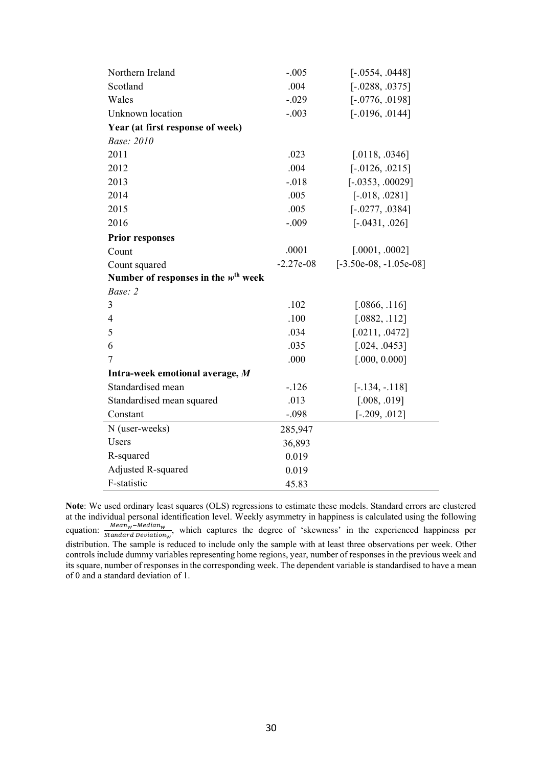| Northern Ireland                                | $-.005$     | $[-.0554, .0448]$        |
|-------------------------------------------------|-------------|--------------------------|
| Scotland                                        | .004        | $[-.0288, .0375]$        |
| Wales                                           | $-.029$     | $[-.0776, .0198]$        |
| Unknown location                                | $-.003$     | $[-.0196, .0144]$        |
| Year (at first response of week)                |             |                          |
| Base: 2010                                      |             |                          |
| 2011                                            | .023        | [.0118, .0346]           |
| 2012                                            | .004        | $[-.0126, .0215]$        |
| 2013                                            | $-.018$     | $[-.0353, .00029]$       |
| 2014                                            | .005        | $[-.018, .0281]$         |
| 2015                                            | .005        | $[-.0277, .0384]$        |
| 2016                                            | $-.009$     | $[-.0431, .026]$         |
| <b>Prior responses</b>                          |             |                          |
| Count                                           | .0001       | [.0001, .0002]           |
| Count squared                                   | $-2.27e-08$ | $[-3.50e-08, -1.05e-08]$ |
| Number of responses in the $w^{\text{th}}$ week |             |                          |
| Base: 2                                         |             |                          |
| 3                                               | .102        | [.0866, .116]            |
| 4                                               | .100        | [.0882, .112]            |
| 5                                               | .034        | [.0211, .0472]           |
| 6                                               | .035        | [.024, .0453]            |
| 7                                               | .000        | [.000, 0.000]            |
| Intra-week emotional average, M                 |             |                          |
| Standardised mean                               | $-.126$     | $[-.134, -.118]$         |
| Standardised mean squared                       | .013        | [.008, .019]             |
| Constant                                        | $-.098$     | $[-.209, .012]$          |
| N (user-weeks)                                  | 285,947     |                          |
| Users                                           | 36,893      |                          |
| R-squared                                       | 0.019       |                          |
| Adjusted R-squared                              | 0.019       |                          |
| F-statistic                                     | 45.83       |                          |

**Note**: We used ordinary least squares (OLS) regressions to estimate these models. Standard errors are clustered at the individual personal identification level. Weekly asymmetry in happiness is calculated using the following equation:  $\frac{Mean_w - Median_w}{Standard\ Deviation_w}$ , which captures the degree of 'skewness' in the experienced happiness per distribution. The sample is reduced to include only the sample with at least three observations per week. Other controls include dummy variables representing home regions, year, number of responses in the previous week and its square, number of responses in the corresponding week. The dependent variable is standardised to have a mean of 0 and a standard deviation of 1.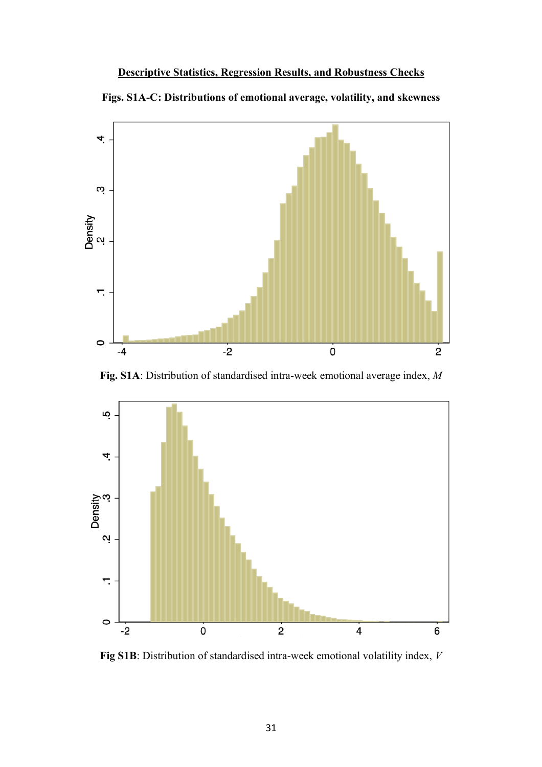## **Descriptive Statistics, Regression Results, and Robustness Checks**





**Fig. S1A**: Distribution of standardised intra-week emotional average index, *M*



**Fig S1B**: Distribution of standardised intra-week emotional volatility index, *V*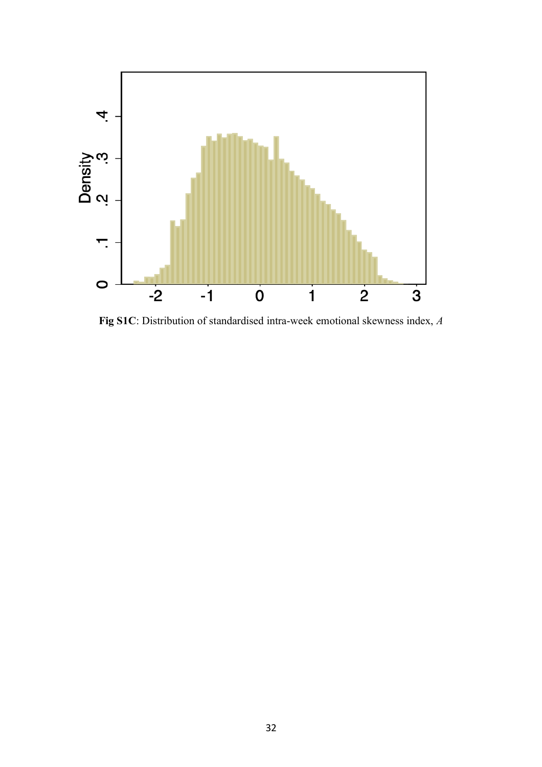

**Fig S1C**: Distribution of standardised intra-week emotional skewness index, *A*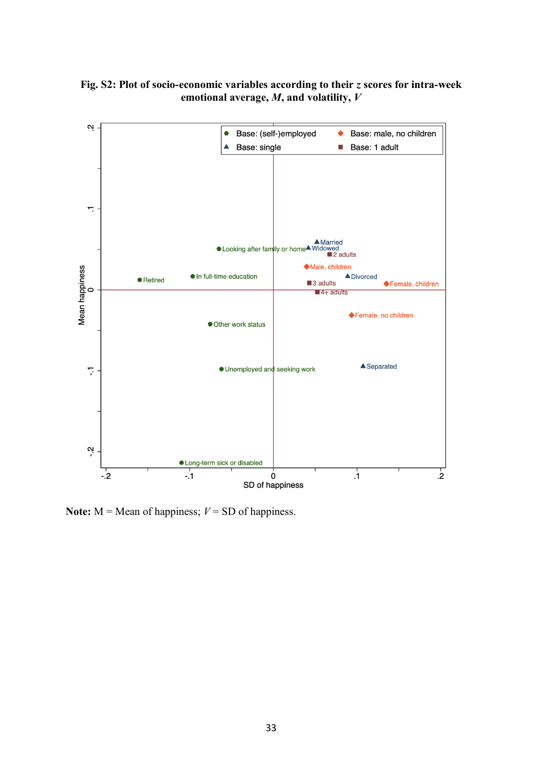



**Note:**  $M =$ **Mean** of happiness;  $V =$ **SD** of happiness.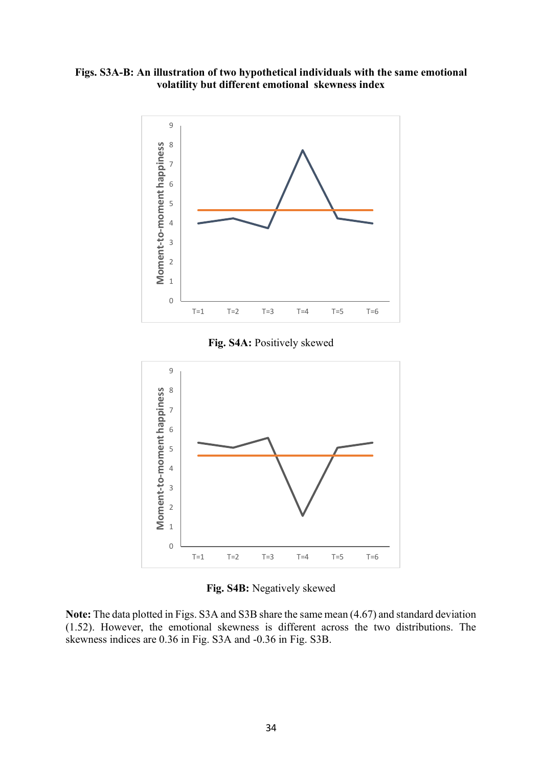**Figs. S3A-B: An illustration of two hypothetical individuals with the same emotional volatility but different emotional skewness index**



**Fig. S4A:** Positively skewed



**Fig. S4B:** Negatively skewed

**Note:** The data plotted in Figs. S3A and S3B share the same mean (4.67) and standard deviation (1.52). However, the emotional skewness is different across the two distributions. The skewness indices are 0.36 in Fig. S3A and -0.36 in Fig. S3B.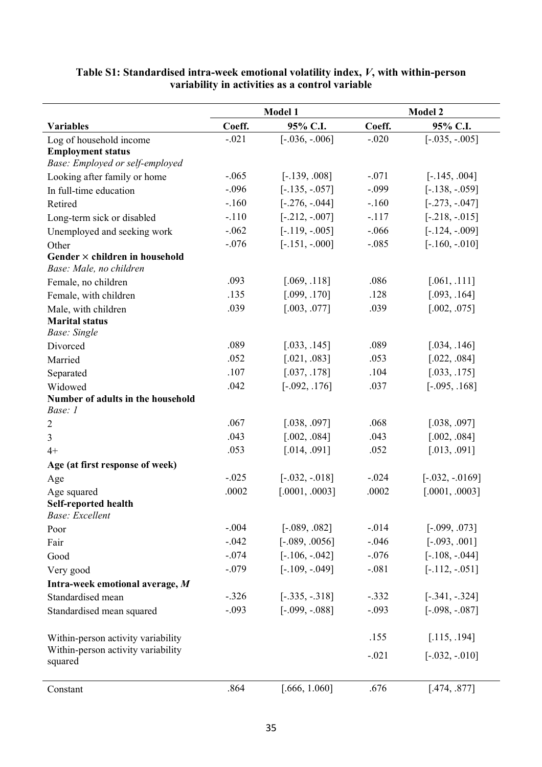|                                                                  | Model 1 |                  |         | <b>Model 2</b>    |
|------------------------------------------------------------------|---------|------------------|---------|-------------------|
| <b>Variables</b>                                                 | Coeff.  | 95% C.I.         | Coeff.  | 95% C.I.          |
| Log of household income                                          | $-.021$ | $[-.036, -.006]$ | $-.020$ | $[-.035, -.005]$  |
| <b>Employment status</b>                                         |         |                  |         |                   |
| Base: Employed or self-employed                                  |         |                  |         |                   |
| Looking after family or home                                     | $-.065$ | $[-.139, .008]$  | $-.071$ | $[-.145, .004]$   |
| In full-time education                                           | $-.096$ | $[-.135, -.057]$ | $-.099$ | $[-.138, -0.059]$ |
| Retired                                                          | $-.160$ | $[-.276, -.044]$ | $-.160$ | $[-.273, -.047]$  |
| Long-term sick or disabled                                       | $-.110$ | $[-.212, -.007]$ | $-.117$ | $[-.218, -.015]$  |
| Unemployed and seeking work                                      | $-.062$ | $[-.119, -.005]$ | $-.066$ | $[-.124, -.009]$  |
| Other                                                            | $-.076$ | $[-.151, -000]$  | $-.085$ | $[-.160, -010]$   |
| Gender $\times$ children in household<br>Base: Male, no children |         |                  |         |                   |
| Female, no children                                              | .093    | [.069, .118]     | .086    | [.061, .111]      |
| Female, with children                                            | .135    | [.099, .170]     | .128    | [.093, .164]      |
| Male, with children                                              | .039    | [.003, .077]     | .039    | [.002, .075]      |
| <b>Marital status</b>                                            |         |                  |         |                   |
| <b>Base:</b> Single                                              |         |                  |         |                   |
| Divorced                                                         | .089    | [.033, .145]     | .089    | [.034, .146]      |
| Married                                                          | .052    | [.021, .083]     | .053    | [.022, .084]      |
| Separated                                                        | .107    | [.037, .178]     | .104    | [.033, .175]      |
| Widowed                                                          | .042    | $[-.092, .176]$  | .037    | $[-.095, .168]$   |
| Number of adults in the household                                |         |                  |         |                   |
| Base: 1                                                          |         |                  |         |                   |
| $\overline{2}$                                                   | .067    | [.038, .097]     | .068    | [.038, .097]      |
| 3                                                                | .043    | [.002, .084]     | .043    | [.002, .084]      |
| $4+$                                                             | .053    | [.014, .091]     | .052    | [.013, .091]      |
| Age (at first response of week)                                  |         |                  |         |                   |
| Age                                                              | $-.025$ | $[-.032, -.018]$ | $-.024$ | $[-.032, -.0169]$ |
| Age squared                                                      | .0002   | [.0001, .0003]   | .0002   | [.0001, .0003]    |
| Self-reported health<br>Base: Excellent                          |         |                  |         |                   |
| Poor                                                             | $-.004$ | $[-.089, .082]$  | $-.014$ | $[-.099, .073]$   |
| Fair                                                             | $-.042$ | $[-.089, .0056]$ | $-.046$ | $[-.093, .001]$   |
| Good                                                             | $-.074$ | $[-.106, -.042]$ | $-.076$ | $[-.108, -.044]$  |
| Very good                                                        | $-.079$ | $[-.109, -.049]$ | $-.081$ | $[-.112, -.051]$  |
| Intra-week emotional average, M                                  |         |                  |         |                   |
| Standardised mean                                                | $-.326$ | $[-.335, -.318]$ | $-.332$ | $[-.341, -.324]$  |
|                                                                  | $-.093$ | $[-.099, -.088]$ | $-.093$ | $[-.098, -.087]$  |
| Standardised mean squared                                        |         |                  |         |                   |
| Within-person activity variability                               |         |                  | .155    | [.115, .194]      |
| Within-person activity variability<br>squared                    |         |                  | $-.021$ | $[-.032, -.010]$  |
| Constant                                                         | .864    | [.666, 1.060]    | .676    | [.474, .877]      |

## **Table S1: Standardised intra-week emotional volatility index,** *V***, with within-person variability in activities as a control variable**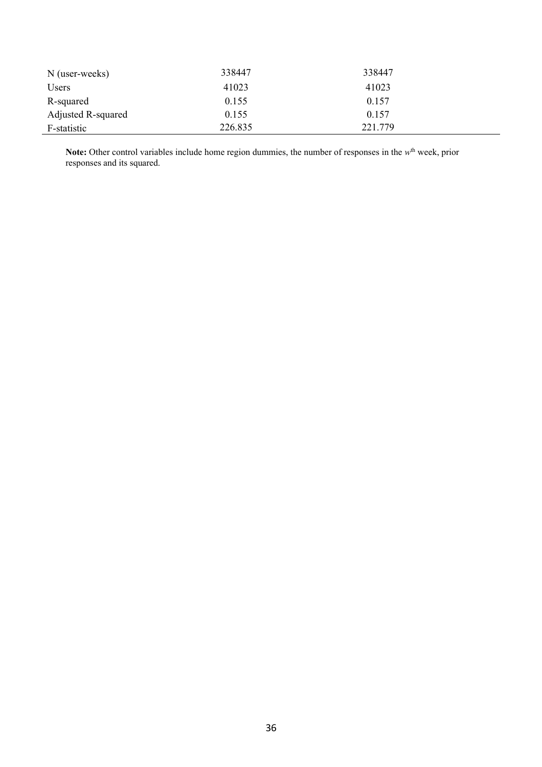| N (user-weeks)     | 338447  | 338447  |  |
|--------------------|---------|---------|--|
| Users              | 41023   | 41023   |  |
| R-squared          | 0.155   | 0.157   |  |
| Adjusted R-squared | 0.155   | 0.157   |  |
| F-statistic        | 226.835 | 221.779 |  |

Note: Other control variables include home region dummies, the number of responses in the w<sup>th</sup> week, prior responses and its squared.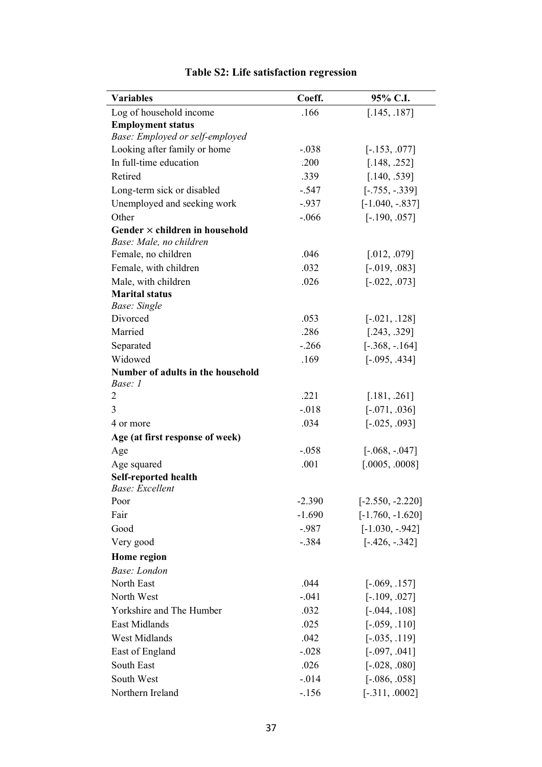| <b>Variables</b>                             | Coeff.   | 95% C.I.           |
|----------------------------------------------|----------|--------------------|
| Log of household income                      | .166     | [.145, .187]       |
| <b>Employment status</b>                     |          |                    |
| Base: Employed or self-employed              |          |                    |
| Looking after family or home                 | $-.038$  | $[-.153, .077]$    |
| In full-time education                       | .200     | [.148, .252]       |
| Retired                                      | .339     | [.140, .539]       |
| Long-term sick or disabled                   | $-.547$  | $[-.755, -.339]$   |
| Unemployed and seeking work                  | $-0.937$ | $[-1.040, -.837]$  |
| Other                                        | $-.066$  | $[-.190, .057]$    |
| Gender $\times$ children in household        |          |                    |
| Base: Male, no children                      |          |                    |
| Female, no children                          | .046     | [.012, .079]       |
| Female, with children                        | .032     | $[-.019, .083]$    |
| Male, with children                          | .026     | $[-.022, .073]$    |
| <b>Marital status</b>                        |          |                    |
| <b>Base:</b> Single<br>Divorced              | .053     |                    |
| Married                                      | .286     | $[-.021, .128]$    |
|                                              |          | [.243, .329]       |
| Separated                                    | $-.266$  | $[-.368, -.164]$   |
| Widowed                                      | .169     | $[-.095, .434]$    |
| Number of adults in the household<br>Base: 1 |          |                    |
| $\overline{2}$                               | .221     | [.181, .261]       |
| 3                                            | $-.018$  | $[-.071, .036]$    |
| 4 or more                                    | .034     | $[-.025, .093]$    |
| Age (at first response of week)              |          |                    |
| Age                                          | $-.058$  | $[-.068, -.047]$   |
| Age squared                                  | .001     | [.0005, .0008]     |
| Self-reported health                         |          |                    |
| Base: Excellent                              |          |                    |
| Poor                                         | $-2.390$ | $[-2.550, -2.220]$ |
| Fair                                         | $-1.690$ | $[-1.760, -1.620]$ |
| Good                                         | $-.987$  | $[-1.030, -.942]$  |
| Very good                                    | $-.384$  | $[-.426, -.342]$   |
| Home region                                  |          |                    |
| Base: London                                 |          |                    |
| North East                                   | .044     | $[-.069, .157]$    |
| North West                                   | $-.041$  | $[-.109, .027]$    |
| Yorkshire and The Humber                     | .032     | $[-.044, .108]$    |
| <b>East Midlands</b>                         | .025     | $[-.059, .110]$    |
| West Midlands                                | .042     | $[-.035, .119]$    |
| East of England                              | $-.028$  | $[-.097, .041]$    |
| South East                                   | .026     | $[-.028, .080]$    |
| South West                                   | $-0.014$ | $[-.086, .058]$    |
| Northern Ireland                             | $-.156$  | $[-.311, .0002]$   |

# **Table S2: Life satisfaction regression**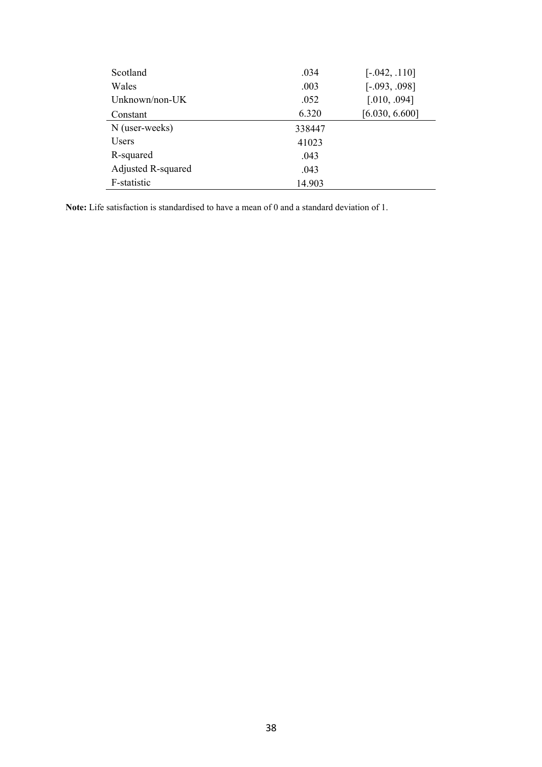| Scotland           | .034   | $[-.042, .110]$ |
|--------------------|--------|-----------------|
| Wales              | .003   | $[-.093, .098]$ |
| Unknown/non-UK     | .052   | [.010, .094]    |
| Constant           | 6.320  | [6.030, 6.600]  |
| N (user-weeks)     | 338447 |                 |
| Users              | 41023  |                 |
| R-squared          | .043   |                 |
| Adjusted R-squared | .043   |                 |
| F-statistic        | 14.903 |                 |

**Note:** Life satisfaction is standardised to have a mean of 0 and a standard deviation of 1.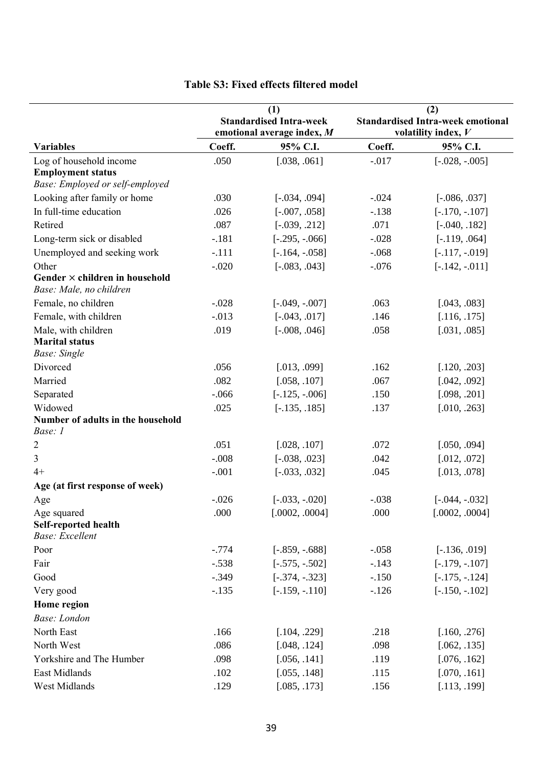|                                                                  | (1)<br><b>Standardised Intra-week</b><br>emotional average index, M |                  |         | (2)<br><b>Standardised Intra-week emotional</b><br>volatility index, $V$ |
|------------------------------------------------------------------|---------------------------------------------------------------------|------------------|---------|--------------------------------------------------------------------------|
| <b>Variables</b>                                                 | Coeff.                                                              | 95% C.I.         | Coeff.  | 95% C.I.                                                                 |
| Log of household income                                          | .050                                                                | [.038, .061]     | $-.017$ | $[-.028, -.005]$                                                         |
| <b>Employment status</b>                                         |                                                                     |                  |         |                                                                          |
| Base: Employed or self-employed                                  |                                                                     |                  |         |                                                                          |
| Looking after family or home                                     | .030                                                                | $[-.034, .094]$  | $-.024$ | $[-.086, .037]$                                                          |
| In full-time education                                           | .026                                                                | $[-.007, .058]$  | $-.138$ | $[-.170, -.107]$                                                         |
| Retired                                                          | .087                                                                | $[-.039, .212]$  | .071    | $[-.040, .182]$                                                          |
| Long-term sick or disabled                                       | $-.181$                                                             | $[-.295, -.066]$ | $-.028$ | $[-.119, .064]$                                                          |
| Unemployed and seeking work                                      | $-.111$                                                             | $[-.164, -.058]$ | $-.068$ | $[-.117, -.019]$                                                         |
| Other                                                            | $-.020$                                                             | $[-.083, .043]$  | $-.076$ | $[-.142, -.011]$                                                         |
| Gender $\times$ children in household<br>Base: Male, no children |                                                                     |                  |         |                                                                          |
| Female, no children                                              | $-.028$                                                             | $[-.049, -.007]$ | .063    | [.043, .083]                                                             |
| Female, with children                                            | $-.013$                                                             | $[-.043, .017]$  | .146    | [.116, .175]                                                             |
| Male, with children                                              | .019                                                                | $[-.008, .046]$  | .058    | [.031, .085]                                                             |
| <b>Marital status</b>                                            |                                                                     |                  |         |                                                                          |
| <b>Base:</b> Single                                              |                                                                     |                  |         |                                                                          |
| Divorced                                                         | .056                                                                | [.013, .099]     | .162    | [.120, .203]                                                             |
| Married                                                          | .082                                                                | [.058, .107]     | .067    | [.042, .092]                                                             |
| Separated                                                        | $-0.066$                                                            | $[-.125, -.006]$ | .150    | [.098, .201]                                                             |
| Widowed                                                          | .025                                                                | $[-.135, .185]$  | .137    | [.010, .263]                                                             |
| Number of adults in the household                                |                                                                     |                  |         |                                                                          |
| Base: 1                                                          |                                                                     |                  |         |                                                                          |
| $\overline{2}$                                                   | .051                                                                | [.028, .107]     | .072    | [.050, .094]                                                             |
| 3                                                                | $-.008$                                                             | $[-.038, .023]$  | .042    | [.012, .072]                                                             |
| $4+$                                                             | $-.001$                                                             | $[-.033, .032]$  | .045    | [.013, .078]                                                             |
| Age (at first response of week)                                  |                                                                     |                  |         |                                                                          |
| Age                                                              | $-.026$                                                             | $[-.033, -.020]$ | $-.038$ | $[-.044, -.032]$                                                         |
| Age squared                                                      | .000                                                                | [.0002, .0004]   | .000    | [.0002, .0004]                                                           |
| Self-reported health<br>Base: Excellent                          |                                                                     |                  |         |                                                                          |
| Poor                                                             | $-.774$                                                             | $[-.859, -.688]$ | $-.058$ | $[-.136, .019]$                                                          |
| Fair                                                             | $-.538$                                                             | $[-.575, -.502]$ | $-.143$ | $[-.179, -.107]$                                                         |
| Good                                                             | $-.349$                                                             | $[-.374, -.323]$ | $-.150$ | $[-.175, -.124]$                                                         |
| Very good                                                        | $-.135$                                                             | $[-.159, -.110]$ | $-.126$ | $[-.150, -.102]$                                                         |
| Home region                                                      |                                                                     |                  |         |                                                                          |
| Base: London                                                     |                                                                     |                  |         |                                                                          |
| North East                                                       | .166                                                                | [.104, .229]     | .218    | [.160, .276]                                                             |
| North West                                                       | .086                                                                | [.048, .124]     | .098    | [.062, .135]                                                             |
| Yorkshire and The Humber                                         | .098                                                                | [.056, .141]     | .119    | [.076, .162]                                                             |
| East Midlands                                                    | .102                                                                | [.055, .148]     | .115    | [.070, .161]                                                             |
| West Midlands                                                    | .129                                                                | [.085, .173]     | .156    | [.113, .199]                                                             |

## **Table S3: Fixed effects filtered model**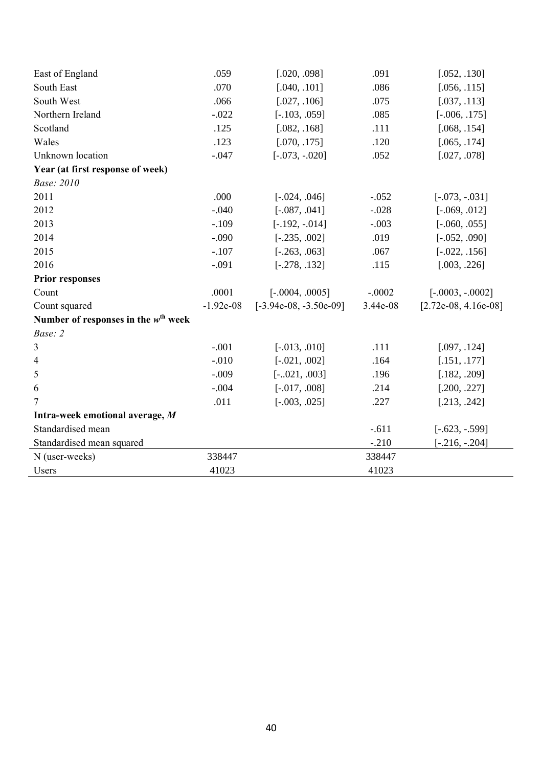| East of England                                 | .059        | [.020, .098]             | .091     | [.052, .130]           |
|-------------------------------------------------|-------------|--------------------------|----------|------------------------|
| South East                                      | .070        | [.040, .101]             | .086     | [.056, .115]           |
| South West                                      | .066        | [.027, .106]             | .075     | [.037, .113]           |
| Northern Ireland                                | $-.022$     | $[-.103, .059]$          | .085     | $[-.006, .175]$        |
| Scotland                                        | .125        | [.082, .168]             | .111     | [.068, .154]           |
| Wales                                           | .123        | [.070, .175]             | .120     | [.065, .174]           |
| Unknown location                                | $-.047$     | $[-.073, -.020]$         | .052     | [.027, .078]           |
| Year (at first response of week)                |             |                          |          |                        |
| <b>Base: 2010</b>                               |             |                          |          |                        |
| 2011                                            | .000        | $[-.024, .046]$          | $-.052$  | $[-.073, -.031]$       |
| 2012                                            | $-.040$     | $[-.087, .041]$          | $-.028$  | $[-.069, .012]$        |
| 2013                                            | $-.109$     | $[-.192, -.014]$         | $-.003$  | $[-.060, .055]$        |
| 2014                                            | $-.090$     | $[-.235, .002]$          | .019     | $[-.052, .090]$        |
| 2015                                            | $-.107$     | $[-.263, .063]$          | .067     | $[-.022, .156]$        |
| 2016                                            | $-.091$     | $[-.278, .132]$          | .115     | [.003, .226]           |
| <b>Prior responses</b>                          |             |                          |          |                        |
| Count                                           | .0001       | $[-.0004, .0005]$        | $-.0002$ | $[-.0003, -.0002]$     |
| Count squared                                   | $-1.92e-08$ | $[-3.94e-08, -3.50e-09]$ | 3.44e-08 | $[2.72e-08, 4.16e-08]$ |
| Number of responses in the $w^{\text{th}}$ week |             |                          |          |                        |
| Base: 2                                         |             |                          |          |                        |
| 3                                               | $-.001$     | $[-.013, .010]$          | .111     | [.097, .124]           |
| 4                                               | $-.010$     | $[-.021, .002]$          | .164     | [.151, .177]           |
| 5                                               | $-.009$     | $[-.021, .003]$          | .196     | [.182, .209]           |
| 6                                               | $-.004$     | $[-.017, .008]$          | .214     | [.200, .227]           |
| $\overline{7}$                                  | .011        | $[-.003, .025]$          | .227     | [.213, .242]           |
| Intra-week emotional average, M                 |             |                          |          |                        |
| Standardised mean                               |             |                          | $-.611$  | $[-.623, -.599]$       |
| Standardised mean squared                       |             |                          | $-.210$  | $[-.216, -.204]$       |
| N (user-weeks)                                  | 338447      |                          | 338447   |                        |
| Users                                           | 41023       |                          | 41023    |                        |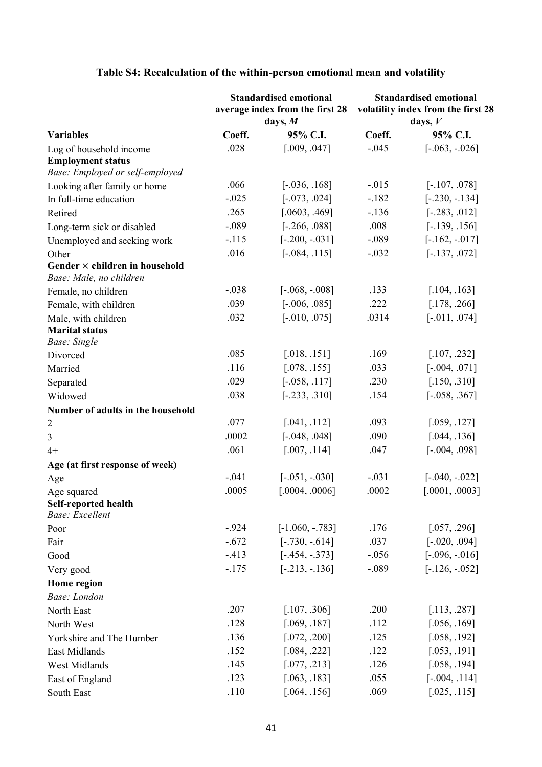|                                              | <b>Standardised emotional</b> |                                 |         | <b>Standardised emotional</b>      |
|----------------------------------------------|-------------------------------|---------------------------------|---------|------------------------------------|
|                                              |                               | average index from the first 28 |         | volatility index from the first 28 |
|                                              |                               | days, $M$                       |         | days, $V$                          |
| <b>Variables</b>                             | Coeff.                        | 95% C.I.                        | Coeff.  | 95% C.I.                           |
| Log of household income                      | .028                          | [.009, .047]                    | $-.045$ | $[-.063, -.026]$                   |
| <b>Employment status</b>                     |                               |                                 |         |                                    |
| Base: Employed or self-employed              |                               |                                 |         |                                    |
| Looking after family or home                 | .066                          | $[-.036, .168]$                 | $-.015$ | $[-.107, .078]$                    |
| In full-time education                       | $-.025$                       | $[-.073, .024]$                 | $-.182$ | $[-.230, -.134]$                   |
| Retired                                      | .265                          | [.0603, .469]                   | $-.136$ | $[-.283, .012]$                    |
| Long-term sick or disabled                   | $-.089$                       | $[-.266, .088]$                 | .008    | $[-.139, .156]$                    |
| Unemployed and seeking work                  | $-.115$                       | $[-.200, -.031]$                | $-.089$ | $[-.162, -.017]$                   |
| Other                                        | .016                          | $[-.084, .115]$                 | $-.032$ | $[-.137, .072]$                    |
| Gender $\times$ children in household        |                               |                                 |         |                                    |
| Base: Male, no children                      |                               |                                 |         |                                    |
| Female, no children                          | $-.038$                       | $[-.068, -.008]$                | .133    | [.104, .163]                       |
| Female, with children                        | .039                          | $[-.006, .085]$                 | .222    | [.178, .266]                       |
| Male, with children                          | .032                          | $[-.010, .075]$                 | .0314   | $[-.011, .074]$                    |
| <b>Marital status</b><br><b>Base:</b> Single |                               |                                 |         |                                    |
| Divorced                                     | .085                          | [.018, .151]                    | .169    | [.107, .232]                       |
| Married                                      | .116                          | [.078, .155]                    | .033    | $[-.004, .071]$                    |
| Separated                                    | .029                          | $[-.058, .117]$                 | .230    | [.150, .310]                       |
| Widowed                                      | .038                          | $[-.233, .310]$                 | .154    | $[-.058, .367]$                    |
| Number of adults in the household            |                               |                                 |         |                                    |
|                                              | .077                          | [.041, .112]                    | .093    | [.059, .127]                       |
| $\overline{2}$                               | .0002                         | $[-.048, .048]$                 | .090    | [.044, .136]                       |
| 3                                            | .061                          |                                 |         |                                    |
| $4+$                                         |                               | [.007, .114]                    | .047    | $[-.004, .098]$                    |
| Age (at first response of week)              |                               |                                 |         |                                    |
| Age                                          | $-.041$                       | $[-.051, -.030]$                | $-.031$ | $[-.040, -.022]$                   |
| Age squared                                  | .0005                         | [.0004, .0006]                  | .0002   | [.0001, .0003]                     |
| Self-reported health<br>Base: Excellent      |                               |                                 |         |                                    |
| Poor                                         | $-0.924$                      | $[-1.060, -0.783]$              | .176    | [.057, .296]                       |
| Fair                                         | $-.672$                       | $[-.730, -.614]$                | .037    | $[-.020, .094]$                    |
| Good                                         | $-.413$                       | $[-.454, -.373]$                | $-.056$ | $[-.096, -.016]$                   |
| Very good                                    | $-.175$                       | $[-.213, -.136]$                | $-.089$ | $[-.126, -.052]$                   |
| Home region                                  |                               |                                 |         |                                    |
| <b>Base:</b> London                          |                               |                                 |         |                                    |
| North East                                   | .207                          | [.107, .306]                    | .200    | [.113, .287]                       |
| North West                                   | .128                          | [.069, .187]                    | .112    | [.056, .169]                       |
|                                              | .136                          | [.072, .200]                    | .125    | [.058, .192]                       |
| Yorkshire and The Humber                     | .152                          | [.084, .222]                    | .122    | [.053, .191]                       |
| East Midlands                                | .145                          |                                 | .126    |                                    |
| West Midlands                                |                               | [.077, .213]                    |         | [.058, .194]                       |
| East of England                              | .123                          | [.063, .183]                    | .055    | $[-.004, .114]$                    |
| South East                                   | .110                          | [.064, .156]                    | .069    | [.025, .115]                       |

# **Table S4: Recalculation of the within-person emotional mean and volatility**